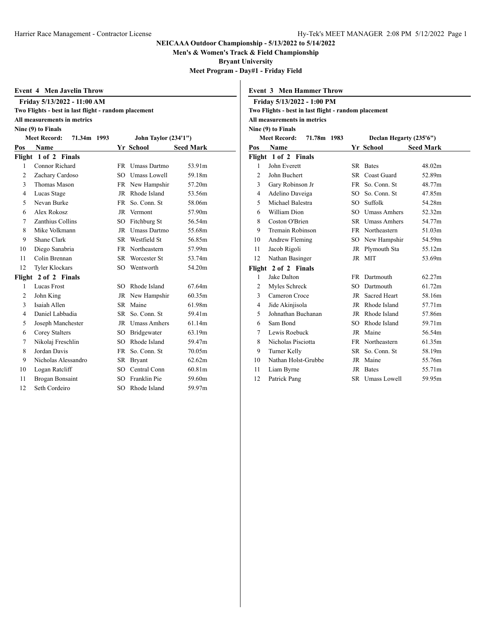**Men's & Women's Track & Field Championship**

**Bryant University**

**Meet Program - Day#1 - Friday Field**

|     | <b>Event 4 Men Javelin Throw</b>                     |     |                             |                  |                | <b>Event 3 Men Hammer Throw</b>                      |           |                         |                  |  |  |
|-----|------------------------------------------------------|-----|-----------------------------|------------------|----------------|------------------------------------------------------|-----------|-------------------------|------------------|--|--|
|     | Friday 5/13/2022 - 11:00 AM                          |     |                             |                  |                | Friday 5/13/2022 - 1:00 PM                           |           |                         |                  |  |  |
|     | Two Flights - best in last flight - random placement |     |                             |                  |                | Two Flights - best in last flight - random placement |           |                         |                  |  |  |
|     | All measurements in metrics                          |     |                             |                  |                | All measurements in metrics                          |           |                         |                  |  |  |
|     | Nine (9) to Finals                                   |     |                             |                  |                | Nine (9) to Finals                                   |           |                         |                  |  |  |
|     | <b>Meet Record:</b><br>71.34m 1993                   |     | <b>John Taylor (234'1")</b> |                  |                | 71.78m 1983<br><b>Meet Record:</b>                   |           | Declan Hegarty (235'6") |                  |  |  |
| Pos | Name                                                 |     | <b>Yr School</b>            | <b>Seed Mark</b> | Pos            | <b>Name</b>                                          |           | <b>Yr School</b>        | <b>Seed Mark</b> |  |  |
|     | Flight 1 of 2 Finals                                 |     |                             |                  |                | Flight 1 of 2 Finals                                 |           |                         |                  |  |  |
|     | Connor Richard                                       |     | FR Umass Dartmo             | 53.91m           | $\mathbf{1}$   | John Everett                                         |           | SR Bates                | 48.02m           |  |  |
| 2   | Zachary Cardoso                                      | SO. | <b>Umass Lowell</b>         | 59.18m           | $\overline{2}$ | John Buchert                                         |           | SR Coast Guard          | 52.89m           |  |  |
| 3   | Thomas Mason                                         |     | FR New Hampshir             | 57.20m           | 3              | Gary Robinson Jr                                     | <b>FR</b> | So. Conn. St            | 48.77m           |  |  |
| 4   | Lucas Stage                                          | JR. | Rhode Island                | 53.56m           | $\overline{4}$ | Adelino Daveiga                                      | SO.       | So. Conn. St            | 47.85m           |  |  |
| 5   | Nevan Burke                                          |     | FR So. Conn. St             | 58.06m           | 5              | Michael Balestra                                     | SO.       | Suffolk                 | 54.28m           |  |  |
| 6   | Alex Rokosz                                          | JR  | Vermont                     | 57.90m           | 6              | William Dion                                         | SO.       | <b>Umass Amhers</b>     | 52.32m           |  |  |
| 7   | Zanthius Collins                                     | SO. | Fitchburg St                | 56.54m           | 8              | Coston O'Brien                                       | <b>SR</b> | <b>Umass Amhers</b>     | 54.77m           |  |  |
| 8   | Mike Volkmann                                        | JR  | <b>Umass Dartmo</b>         | 55.68m           | 9              | <b>Tremain Robinson</b>                              | FR        | Northeastern            | 51.03m           |  |  |
| 9   | Shane Clark                                          |     | SR Westfield St             | 56.85m           | 10             | Andrew Fleming                                       | SO.       | New Hampshir            | 54.59m           |  |  |
| 10  | Diego Sanabria                                       |     | FR Northeastern             | 57.99m           | 11             | Jacob Rigoli                                         | JR        | Plymouth Sta            | 55.12m           |  |  |
| 11  | Colin Brennan                                        | SR. | Worcester St                | 53.74m           | 12             | Nathan Basinger                                      |           | JR MIT                  | 53.69m           |  |  |
| 12  | <b>Tyler Klockars</b>                                |     | SO Wentworth                | 54.20m           |                | Flight 2 of 2 Finals                                 |           |                         |                  |  |  |
|     | Flight 2 of 2 Finals                                 |     |                             |                  | -1             | Jake Dalton                                          |           | FR Dartmouth            | 62.27m           |  |  |
| 1   | <b>Lucas Frost</b>                                   | SO. | Rhode Island                | 67.64m           | $\overline{2}$ | Myles Schreck                                        | SO.       | Dartmouth               | 61.72m           |  |  |
| 2   | John King                                            | JR  | New Hampshir                | 60.35m           | 3              | Cameron Croce                                        | JR        | <b>Sacred Heart</b>     | 58.16m           |  |  |
| 3   | Isaiah Allen                                         |     | SR Maine                    | 61.98m           | $\overline{4}$ | Jide Akinjisola                                      | JR        | Rhode Island            | 57.71m           |  |  |
| 4   | Daniel Labbadia                                      |     | SR So. Conn. St             | 59.41m           | 5              | Johnathan Buchanan                                   | JR        | Rhode Island            | 57.86m           |  |  |
| 5   | Joseph Manchester                                    | JR  | <b>Umass Amhers</b>         | 61.14m           | 6              | Sam Bond                                             | SO.       | Rhode Island            | 59.71m           |  |  |
| 6   | Corey Stalters                                       | SO  | Bridgewater                 | 63.19m           | 7              | Lewis Roebuck                                        | JR        | Maine                   | 56.54m           |  |  |
| 7   | Nikolaj Freschlin                                    | SO. | Rhode Island                | 59.47m           | 8              | Nicholas Pisciotta                                   | FR.       | Northeastern            | 61.35m           |  |  |
| 8   | Jordan Davis                                         |     | FR So. Conn. St             | 70.05m           | 9              | Turner Kelly                                         | <b>SR</b> | So. Conn. St            | 58.19m           |  |  |
| 9   | Nicholas Alessandro                                  |     | SR Bryant                   | 62.62m           | 10             | Nathan Holst-Grubbe                                  |           | JR Maine                | 55.76m           |  |  |
| 10  | Logan Ratcliff                                       | SO. | Central Conn                | 60.81m           | 11             | Liam Byrne                                           | JR        | <b>Bates</b>            | 55.71m           |  |  |
| 11  | Brogan Bonsaint                                      | SO. | Franklin Pie                | 59.60m           | 12             | Patrick Pang                                         | SR.       | Umass Lowell            | 59.95m           |  |  |
| 12  | Seth Cordeiro                                        | SO. | Rhode Island                | 59.97m           |                |                                                      |           |                         |                  |  |  |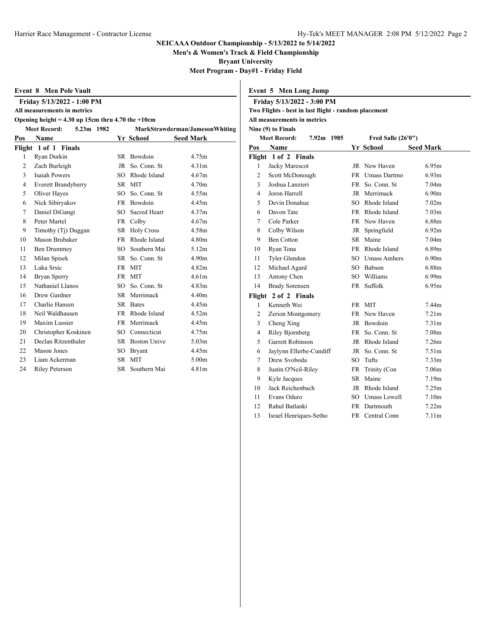**Men's & Women's Track & Field Championship**

**Bryant University**

**Meet Program - Day#1 - Friday Field**

| Event 8 Men Pole Vault |  |  |  |
|------------------------|--|--|--|
|------------------------|--|--|--|

**Friday 5/13/2022 - 1:00 PM**

**All measurements in metrics**

# **Opening height = 4.30 up 15cm thru 4.70 the +10cm**

| <b>Meet Record:</b><br>5.23m 1982 |                       |           | MarkStrawderman/JamesonWhiting |                   |  |  |  |
|-----------------------------------|-----------------------|-----------|--------------------------------|-------------------|--|--|--|
| Pos                               | Name                  |           | Yr School                      | <b>Seed Mark</b>  |  |  |  |
|                                   | Flight 1 of 1 Finals  |           |                                |                   |  |  |  |
| 1                                 | Ryan Durkin           |           | SR Bowdoin                     | 4.75m             |  |  |  |
| 2                                 | Zach Burleigh         | JR        | So. Conn. St                   | 4.31 <sub>m</sub> |  |  |  |
| 3                                 | <b>Isaiah Powers</b>  | $SO^-$    | Rhode Island                   | 4.67m             |  |  |  |
| 4                                 | Everett Brandyberry   |           | SR MIT                         | 4.70m             |  |  |  |
| 5                                 | Oliver Hayes          | SO        | So. Conn. St                   | 4.55m             |  |  |  |
| 6                                 | Nick Sibiryakov       |           | FR Bowdoin                     | 4.45m             |  |  |  |
| $\tau$                            | Daniel DiGangi        | SO.       | Sacred Heart                   | 4.37m             |  |  |  |
| 8                                 | Peter Martel          |           | FR Colby                       | 4.67m             |  |  |  |
| 9                                 | Timothy (Tj) Duggan   |           | SR Holy Cross                  | 4.58m             |  |  |  |
| 10                                | Mason Brubaker        | <b>FR</b> | Rhode Island                   | 4.80m             |  |  |  |
| 11                                | Ben Drummey           | SO.       | Southern Mai                   | 5.12m             |  |  |  |
| 12                                | Milan Spisek          |           | SR So. Conn. St                | 4.90m             |  |  |  |
| 13                                | Luka Srsic            |           | FR MIT                         | 4.82m             |  |  |  |
| 14                                | Bryan Sperry          |           | FR MIT                         | 4.61 <sub>m</sub> |  |  |  |
| 15                                | Nathaniel Llanos      |           | SO So. Conn. St                | 4.83m             |  |  |  |
| 16                                | Drew Gardner          |           | SR Merrimack                   | 4.40m             |  |  |  |
| 17                                | Charlie Hansen        |           | SR Bates                       | 4.45m             |  |  |  |
| 18                                | Neil Waldhausen       |           | FR Rhode Island                | 4.52m             |  |  |  |
| 19                                | Maxim Lussier         |           | FR Merrimack                   | 4.45m             |  |  |  |
| 20                                | Christopher Koskinen  |           | SO Connecticut                 | 4.75m             |  |  |  |
| 21                                | Declan Ritzenthaler   |           | SR Boston Unive                | 5.03 <sub>m</sub> |  |  |  |
| 22                                | <b>Mason Jones</b>    | SO        | <b>Bryant</b>                  | 4.45m             |  |  |  |
| 23                                | Liam Ackerman         |           | SR MIT                         | 5.00m             |  |  |  |
| 24                                | <b>Riley Peterson</b> |           | SR Southern Mai                | 4.81m             |  |  |  |

|     | Friday 5/13/2022 - 3:00 PM<br>Two Flights - best in last flight - random placement |            |      |                       |                   |
|-----|------------------------------------------------------------------------------------|------------|------|-----------------------|-------------------|
|     | All measurements in metrics                                                        |            |      |                       |                   |
|     | Nine (9) to Finals                                                                 |            |      |                       |                   |
|     | <b>Meet Record:</b>                                                                | 7.92m 1985 |      | Fred Salle $(26'0'')$ |                   |
| Pos | Name                                                                               |            |      | Yr School             | <b>Seed Mark</b>  |
|     | Flight 1 of 2 Finals                                                               |            |      |                       |                   |
| 1   | Jacky Marescot                                                                     |            |      | JR New Haven          | 6.95m             |
| 2   | Scott McDonough                                                                    |            |      | FR Umass Dartmo       | 6.93m             |
| 3   | Joshua Lanzieri                                                                    |            | FR 1 | So. Conn. St          | 7.04m             |
| 4   | Joron Harrell                                                                      |            | JR   | Merrimack             | 6.90 <sub>m</sub> |
| 5   | Devin Donahue                                                                      |            | SO   | Rhode Island          | 7.02m             |
| 6   | Davon Tate                                                                         |            | FR   | Rhode Island          | 7.03 <sub>m</sub> |
| 7   | Cole Parker                                                                        |            |      | FR New Haven          | 6.88m             |
| 8   | Colby Wilson                                                                       |            | JR   | Springfield           | 6.92m             |
| 9   | <b>Ben Cotton</b>                                                                  |            | SR   | Maine                 | 7.04m             |
| 10  | Ryan Tona                                                                          |            | FR   | Rhode Island          | 6.89m             |
| 11  | Tyler Glendon                                                                      |            | SО   | <b>Umass Amhers</b>   | 6.90 <sub>m</sub> |
| 12  | Michael Agard                                                                      |            | SO   | Babson                | 6.88m             |

| 13 Antony Chen       |  | SO Williams | 6.99m |
|----------------------|--|-------------|-------|
| 14 Brady Sorensen    |  | FR Suffolk  | 6.95m |
| Flight 2 of 2 Finals |  |             |       |
| 1 Kenneth Wei        |  | FR MIT      | 744m  |

**Event 5 Men Long Jump**

|    | ugnt 4 of 4 Finals      |                 |                   |
|----|-------------------------|-----------------|-------------------|
|    | Kenneth Wei             | FR MIT          | 7.44m             |
| 2  | Zerion Montgomery       | FR New Haven    | 7.21 <sub>m</sub> |
| 3  | Cheng Xing              | JR Bowdoin      | 7.31 <sub>m</sub> |
| 4  | Riley Bjornberg         | FR So. Conn. St | 7.08m             |
| 5  | Garrett Robinson        | JR Rhode Island | 7.26m             |
| 6  | Jaylynn Ellerbe-Cundiff | JR So. Conn. St | 7.51 <sub>m</sub> |
| 7  | Drew Svoboda            | SO Tufts        | 7.33 <sub>m</sub> |
| 8  | Justin O'Neil-Riley     | FR Trinity (Con | 7.06m             |
| 9  | Kyle Jacques            | SR Maine        | 7.19m             |
| 10 | Jack Reichenbach        | JR Rhode Island | 7.25m             |
| 11 | Evans Oduro             | SO Umass Lowell | 7.10 <sub>m</sub> |
| 12 | Rahul Batlanki          | FR Dartmouth    | 7.22m             |

Israel Henriques-Setho FR Central Conn 7.11m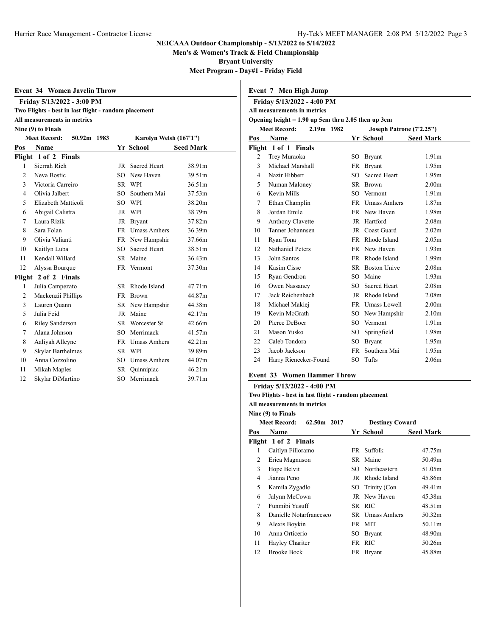**Men's & Women's Track & Field Championship**

**Bryant University**

**Meet Program - Day#1 - Friday Field**

|  |  | Event 34 Women Javelin Throw |  |
|--|--|------------------------------|--|
|--|--|------------------------------|--|

## **Friday 5/13/2022 - 3:00 PM Two Flights - best in last flight - random placement**

# **All measurements in metrics**

#### **Nine (9) to Finals**

| <b>Meet Record:</b><br>50.92m 1983 |                          |           | Karolyn Welsh (167'1") |                  |  |  |  |
|------------------------------------|--------------------------|-----------|------------------------|------------------|--|--|--|
| Pos                                | Name                     |           | Yr School              | <b>Seed Mark</b> |  |  |  |
|                                    | Flight 1 of 2 Finals     |           |                        |                  |  |  |  |
| 1                                  | Sierrah Rich             | JR        | <b>Sacred Heart</b>    | 38.91m           |  |  |  |
| $\overline{c}$                     | Neva Bostic              | SO.       | New Haven              | 39.51m           |  |  |  |
| 3                                  | Victoria Carreiro        |           | SR WPI                 | 36.51m           |  |  |  |
| $\overline{4}$                     | Olivia Jalbert           | SO        | Southern Mai           | 37.53m           |  |  |  |
| 5                                  | Elizabeth Matticoli      | SO.       | WPI                    | 38.20m           |  |  |  |
| 6                                  | Abigail Calistra         |           | JR WPI                 | 38.79m           |  |  |  |
| $\tau$                             | Laura Rizik              | JR        | <b>Bryant</b>          | 37.82m           |  |  |  |
| 8                                  | Sara Folan               |           | FR Umass Amhers        | 36.39m           |  |  |  |
| 9                                  | Olivia Valianti          |           | FR New Hampshir        | 37.66m           |  |  |  |
| 10                                 | Kaitlyn Luba             | SO.       | Sacred Heart           | 38.51m           |  |  |  |
| 11                                 | Kendall Willard          | SR        | Maine                  | 36.43m           |  |  |  |
| 12                                 | Alyssa Bourque           |           | FR Vermont             | 37.30m           |  |  |  |
|                                    | Flight 2 of 2 Finals     |           |                        |                  |  |  |  |
| 1                                  | Julia Campezato          | SR.       | Rhode Island           | 47.71m           |  |  |  |
| $\overline{c}$                     | Mackenzii Phillips       | <b>FR</b> | <b>Brown</b>           | 44.87m           |  |  |  |
| 3                                  | Lauren Quann             |           | SR New Hampshir        | 44.38m           |  |  |  |
| 5                                  | Julia Feid               | JR        | Maine                  | 42.17m           |  |  |  |
| 6                                  | <b>Riley Sanderson</b>   |           | SR Worcester St        | 42.66m           |  |  |  |
| 7                                  | Alana Johnson            | SO.       | Merrimack              | 41.57m           |  |  |  |
| 8                                  | Aaliyah Alleyne          |           | FR Umass Amhers        | 42.21m           |  |  |  |
| 9                                  | <b>Skylar Barthelmes</b> |           | SR WPI                 | 39.89m           |  |  |  |
| 10                                 | Anna Cozzolino           | SO        | <b>Umass Amhers</b>    | 44.07m           |  |  |  |
| 11                                 | Mikah Maples             |           | SR Quinnipiac          | 46.21m           |  |  |  |
| 12                                 | Skylar DiMartino         | SO.       | Merrimack              | 39.71m           |  |  |  |

| Event 7 Men High Jump |                                                               |  |           |                     |                   |  |  |  |  |
|-----------------------|---------------------------------------------------------------|--|-----------|---------------------|-------------------|--|--|--|--|
|                       | Friday 5/13/2022 - 4:00 PM                                    |  |           |                     |                   |  |  |  |  |
|                       | All measurements in metrics                                   |  |           |                     |                   |  |  |  |  |
|                       | Opening height $= 1.90$ up 5cm thru 2.05 then up 3cm          |  |           |                     |                   |  |  |  |  |
|                       | 2.19m 1982<br><b>Meet Record:</b><br>Joseph Patrone (7'2.25") |  |           |                     |                   |  |  |  |  |
| Pos                   | <b>Name</b>                                                   |  |           | Yr School           | <b>Seed Mark</b>  |  |  |  |  |
|                       | Flight 1 of 1 Finals                                          |  |           |                     |                   |  |  |  |  |
| 2                     | Trey Muraoka                                                  |  | SO.       | <b>Bryant</b>       | 1.91 <sub>m</sub> |  |  |  |  |
| 3                     | Michael Marshall                                              |  | <b>FR</b> | <b>Bryant</b>       | 1.95m             |  |  |  |  |
| 4                     | Nazir Hibbert                                                 |  | SO.       | Sacred Heart        | 1.95m             |  |  |  |  |
| 5                     | Numan Maloney                                                 |  | SR        | <b>Brown</b>        | 2.00 <sub>m</sub> |  |  |  |  |
| 6                     | Kevin Mills                                                   |  | SO.       | Vermont             | 1.91 <sub>m</sub> |  |  |  |  |
| 7                     | Ethan Champlin                                                |  |           | FR Umass Amhers     | 1.87m             |  |  |  |  |
| 8                     | Jordan Emile                                                  |  |           | FR New Haven        | 1.98m             |  |  |  |  |
| 9                     | Anthony Clavette                                              |  |           | JR Hartford         | 2.08 <sub>m</sub> |  |  |  |  |
| 10                    | Tanner Johannsen                                              |  | JR        | Coast Guard         | 2.02 <sub>m</sub> |  |  |  |  |
| 11                    | Ryan Tona                                                     |  |           | FR Rhode Island     | 2.05m             |  |  |  |  |
| 12                    | Nathaniel Peters                                              |  |           | FR New Haven        | 1.93 <sub>m</sub> |  |  |  |  |
| 13                    | John Santos                                                   |  |           | FR Rhode Island     | 1.99m             |  |  |  |  |
| 14                    | Kasim Cisse                                                   |  |           | SR Boston Unive     | 2.08m             |  |  |  |  |
| 15                    | Ryan Gendron                                                  |  | SO        | Maine               | 1.93 <sub>m</sub> |  |  |  |  |
| 16                    | Owen Nassaney                                                 |  | SO.       | <b>Sacred Heart</b> | 2.08 <sub>m</sub> |  |  |  |  |
| 17                    | Jack Reichenbach                                              |  |           | JR Rhode Island     | 2.08 <sub>m</sub> |  |  |  |  |
| 18                    | Michael Makiej                                                |  |           | FR Umass Lowell     | 2.00 <sub>m</sub> |  |  |  |  |
| 19                    | Kevin McGrath                                                 |  |           | SO New Hampshir     | 2.10 <sub>m</sub> |  |  |  |  |
| 20                    | Pierce DeBoer                                                 |  | SO.       | Vermont             | 1.91 <sub>m</sub> |  |  |  |  |
| 21                    | Mason Yusko                                                   |  | SO.       | Springfield         | 1.98m             |  |  |  |  |
| 22                    | Caleb Tondora                                                 |  | SO        | <b>Bryant</b>       | 1.95m             |  |  |  |  |
| 23                    | Jacob Jackson                                                 |  | FR.       | Southern Mai        | 1.95m             |  |  |  |  |
| 24                    | Harry Rienecker-Found                                         |  | SO        | Tufts               | 2.06m             |  |  |  |  |

# **Event 33 Women Hammer Throw**

# **Friday 5/13/2022 - 4:00 PM**

**Two Flights - best in last flight - random placement**

**All measurements in metrics Nine (9) to Finals**

| Nine (9) to Finals |                                    |     |                        |                  |  |  |  |  |
|--------------------|------------------------------------|-----|------------------------|------------------|--|--|--|--|
|                    | <b>Meet Record:</b><br>62.50m 2017 |     | <b>Destiney Coward</b> |                  |  |  |  |  |
| Pos                | <b>Name</b>                        |     | Yr School              | <b>Seed Mark</b> |  |  |  |  |
|                    | Flight 1 of 2 Finals               |     |                        |                  |  |  |  |  |
| 1                  | Caitlyn Filloramo                  |     | FR Suffolk             | 47.75m           |  |  |  |  |
| 2                  | Erica Magnuson                     |     | SR Maine               | 50.49m           |  |  |  |  |
| 3                  | Hope Belvit                        |     | SO Northeastern        | 51.05m           |  |  |  |  |
| 4                  | Jianna Peno                        |     | JR Rhode Island        | 45.86m           |  |  |  |  |
| 5                  | Kamila Zygadlo                     |     | SO Trinity (Con        | 49.41m           |  |  |  |  |
| 6                  | Jalynn McCown                      |     | JR New Haven           | 45.38m           |  |  |  |  |
| 7                  | Funmibi Yusuff                     |     | SR RIC                 | 48.51m           |  |  |  |  |
| 8                  | Danielle Notarfrancesco            |     | SR Umass Amhers        | 50.32m           |  |  |  |  |
| 9                  | Alexis Boykin                      |     | FR MIT                 | 50.11m           |  |  |  |  |
| 10                 | Anna Orticerio                     | SO. | Bryant                 | 48.90m           |  |  |  |  |
| 11                 | Hayley Chariter                    |     | FR RIC                 | 50.26m           |  |  |  |  |
| 12                 | <b>Brooke Bock</b>                 |     | FR Bryant              | 45.88m           |  |  |  |  |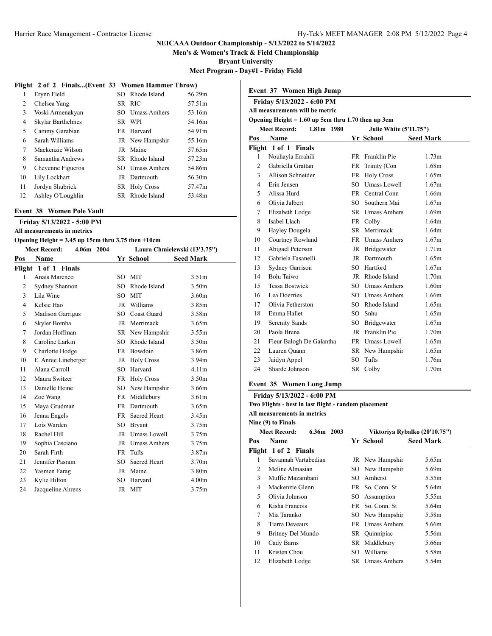**Men's & Women's Track & Field Championship**

**Bryant University**

**Meet Program - Day#1 - Friday Field**

# **Flight 2 of 2 Finals...(Event 33 Women Hammer Throw)**

| 1  | Erynn Field       | SO Rhode Island      | 56.29m |
|----|-------------------|----------------------|--------|
| 2  | Chelsea Yang      | SR RIC               | 57.51m |
| 3  | Voski Armenakyan  | SO Umass Amhers      | 53.16m |
| 4  | Skylar Barthelmes | SR WPI               | 54.16m |
| 5  | Cammy Garabian    | FR Harvard           | 54.91m |
| 6  | Sarah Williams    | JR New Hampshir      | 55.16m |
| 7  | Mackenzie Wilson  | JR Maine             | 57.65m |
| 8  | Samantha Andrews  | SR Rhode Island      | 57.23m |
| 9  | Chevenne Figueroa | SO Umass Amhers      | 54.86m |
| 10 | Lily Lockhart     | JR Dartmouth         | 56.30m |
| 11 | Jordyn Shubrick   | <b>SR</b> Holy Cross | 57.47m |
| 12 | Ashley O'Loughlin | SR Rhode Island      | 53.48m |

#### **Event 38 Women Pole Vault**

**Friday 5/13/2022 - 5:00 PM**

#### **All measurements in metrics Opening Height = 3.45 up 15cm thru 3.75 then +10cm**

| <b>Meet Record:</b><br>4.06m 2004 |                         |           | Laura Chmielewski (13'3.75") |                   |  |  |  |
|-----------------------------------|-------------------------|-----------|------------------------------|-------------------|--|--|--|
| Pos                               | Name                    |           | Yr School                    | <b>Seed Mark</b>  |  |  |  |
|                                   | Flight 1 of 1 Finals    |           |                              |                   |  |  |  |
| 1                                 | Anais Marenco           | SO.       | <b>MIT</b>                   | 3.51 <sub>m</sub> |  |  |  |
| 2                                 | Sydney Shannon          | SO.       | Rhode Island                 | 3.50m             |  |  |  |
| 3                                 | Lila Wine               | SO.       | <b>MIT</b>                   | 3.60 <sub>m</sub> |  |  |  |
| $\overline{4}$                    | Kelsie Hao              |           | JR Williams                  | 3.85m             |  |  |  |
| 5                                 | <b>Madison Garrigus</b> | SO.       | <b>Coast Guard</b>           | 3.58m             |  |  |  |
| 6                                 | Skyler Bomba            |           | JR Merrimack                 | 3.65m             |  |  |  |
| $\tau$                            | Jordan Hoffman          |           | SR New Hampshir              | 3.55m             |  |  |  |
| 8                                 | Caroline Larkin         | SO.       | Rhode Island                 | 3.50m             |  |  |  |
| 9                                 | Charlotte Hodge         | <b>FR</b> | Bowdoin                      | 3.86m             |  |  |  |
| 10                                | E. Annie Lineberger     |           | JR Holy Cross                | 3.94m             |  |  |  |
| 11                                | Alana Carroll           | SO.       | Harvard                      | 4.11 <sub>m</sub> |  |  |  |
| 12                                | Maura Switzer           |           | FR Holy Cross                | 3.50m             |  |  |  |
| 13                                | Danielle Heine          |           | SO New Hampshir              | 3.66m             |  |  |  |
| 14                                | Zoe Wang                |           | FR Middlebury                | 3.61 <sub>m</sub> |  |  |  |
| 15                                | Maya Grudman            |           | FR Dartmouth                 | 3.65m             |  |  |  |
| 16                                | Jenna Engels            | FR -      | Sacred Heart                 | 3.45m             |  |  |  |
| 17                                | Lois Warden             | SO.       | <b>Bryant</b>                | 3.75m             |  |  |  |
| 18                                | Rachel Hill             | JR        | Umass Lowell                 | 3.75m             |  |  |  |
| 19                                | Sophia Casciano         | JR.       | <b>Umass Amhers</b>          | 3.75m             |  |  |  |
| 20                                | Sarah Firth             | <b>FR</b> | Tufts                        | 3.87m             |  |  |  |
| 21                                | Jennifer Pasram         | SO.       | Sacred Heart                 | 3.70m             |  |  |  |
| 22                                | Yasmen Farag            | JR        | Maine                        | 3.80m             |  |  |  |
| 23                                | Kylie Hilton            | SO.       | Harvard                      | 4.00m             |  |  |  |
| 24                                | Jacqueline Ahrens       | JR        | <b>MIT</b>                   | 3.75m             |  |  |  |

| Event 37 Women High Jump |                                                      |        |                               |                   |  |
|--------------------------|------------------------------------------------------|--------|-------------------------------|-------------------|--|
|                          | Friday 5/13/2022 - 6:00 PM                           |        |                               |                   |  |
|                          | All measurements will be metric                      |        |                               |                   |  |
|                          | Opening Height = $1.60$ up 5cm thru 1.70 then up 3cm |        |                               |                   |  |
|                          | <b>Meet Record:</b><br>1.81m 1980                    |        | <b>Julie White (5'11.75")</b> |                   |  |
| Pos                      | Name                                                 |        | Yr School                     | <b>Seed Mark</b>  |  |
|                          | Flight 1 of 1 Finals                                 |        |                               |                   |  |
| 1                        | Nouhayla Errahili                                    | FR     | Franklin Pie                  | 1.73m             |  |
| $\overline{2}$           | Gabriella Grattan                                    |        | FR Trinity (Con               | 1.68m             |  |
| 3                        | Allison Schneider                                    |        | FR Holy Cross                 | 1.65m             |  |
| 4                        | Erin Jensen                                          |        | SO Umass Lowell               | 1.67m             |  |
| 5                        | Alissa Hurd                                          |        | FR Central Conn               | 1.66m             |  |
| 6                        | Olivia Jalbert                                       | SO.    | Southern Mai                  | 1.67m             |  |
| 7                        | Elizabeth Lodge                                      |        | SR Umass Amhers               | 1.69m             |  |
| 8                        | Isabel Llach                                         |        | FR Colby                      | 1.64m             |  |
| 9                        | Hayley Dougela                                       |        | SR Merrimack                  | 1.64m             |  |
| 10                       | Courtney Rowland                                     |        | FR Umass Amhers               | 1.67m             |  |
| 11                       | Abigael Peterson                                     |        | JR Bridgewater                | 1.71 <sub>m</sub> |  |
| 12                       | Gabriela Fasanelli                                   |        | JR Dartmouth                  | 1.65m             |  |
| 13                       | <b>Sydney Garrison</b>                               |        | SO Hartford                   | 1.67m             |  |
| 14                       | Bolu Taiwo                                           |        | JR Rhode Island               | 1.70m             |  |
| 15                       | <b>Tessa Bostwick</b>                                |        | SO Umass Amhers               | 1.60m             |  |
| 16                       | Lea Doerries                                         |        | SO Umass Amhers               | 1.66m             |  |
| 17                       | Olivia Fetherston                                    |        | SO Rhode Island               | 1.65m             |  |
| 18                       | Emma Hallet                                          | $SO^-$ | Snhu                          | 1.65m             |  |
| 19                       | Serenity Sands                                       |        | SO Bridgewater                | 1.67m             |  |
| 20                       | Paola Brena                                          |        | JR Franklin Pie               | 1.70m             |  |
| 21                       | Fleur Balogh De Galantha                             |        | FR Umass Lowell               | 1.65m             |  |
| 22                       | Lauren Ouann                                         |        | SR New Hampshir               | 1.65m             |  |
| 23                       | Jaidyn Appel                                         | SО     | Tufts                         | 1.76m             |  |
| 24                       | Sharde Johnson                                       | SR –   | Colby                         | 1.70m             |  |

# **Event 35 Women Long Jump**

**Friday 5/13/2022 - 6:00 PM**

**Two Flights - best in last flight - random placement**

**All measurements in metrics**

|     | Nine (9) to Finals                |                               |                     |                  |  |
|-----|-----------------------------------|-------------------------------|---------------------|------------------|--|
|     | <b>Meet Record:</b><br>6.36m 2003 | Viktoriya Rybalko (20'10.75") |                     |                  |  |
| Pos | Name                              |                               | Yr School           | <b>Seed Mark</b> |  |
|     | Flight 1 of 2 Finals              |                               |                     |                  |  |
| 1   | Savannah Vartabedian              |                               | JR New Hampshir     | 5.65m            |  |
| 2   | Meline Almasian                   |                               | SO New Hampshir     | 5.69m            |  |
| 3   | Muffie Mazambani                  | SO.                           | Amherst             | 5.55m            |  |
| 4   | Mackenzie Glenn                   |                               | FR So. Conn. St     | 5.64m            |  |
| 5   | Olivia Johnson                    | SO.                           | Assumption          | 5.55m            |  |
| 6   | Kisha Francois                    | FR.                           | So. Conn. St        | 5.64m            |  |
| 7   | Mia Taranko                       |                               | SO New Hampshir     | 5.58m            |  |
| 8   | Tiarra Deveaux                    |                               | FR Umass Amhers     | 5.66m            |  |
| 9   | Britney Del Mundo                 |                               | SR Quinnipiac       | 5.56m            |  |
| 10  | Cady Barns                        | SR                            | Middlebury          | 5.66m            |  |
| 11  | Kristen Chou                      | SО                            | Williams            | 5.58m            |  |
| 12  | Elizabeth Lodge                   | SR –                          | <b>Umass Amhers</b> | 5.54m            |  |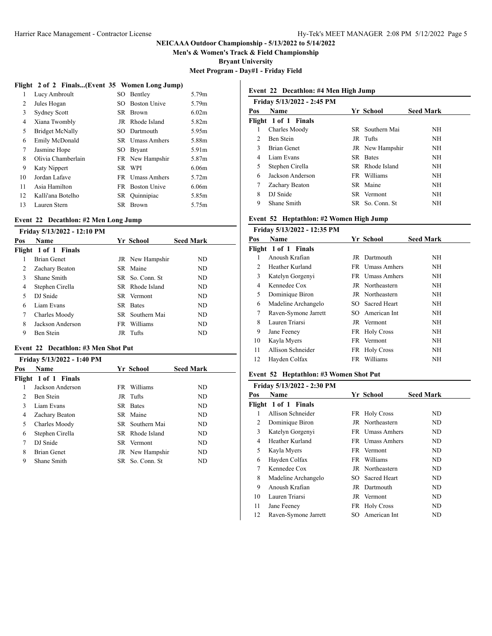**Men's & Women's Track & Field Championship**

**Bryant University**

**Meet Program - Day#1 - Friday Field**

# **Flight 2 of 2 Finals...(Event 35 Women Long Jump)**

| 1  | Lucy Ambroult          | SO. | Bentley                | 5.79m             |
|----|------------------------|-----|------------------------|-------------------|
| 2  | Jules Hogan            | SO. | <b>Boston Unive</b>    | 5.79m             |
| 3  | <b>Sydney Scott</b>    | SR. | Brown                  | 6.02m             |
| 4  | Xiana Twombly          | JR  | Rhode Island           | 5.82m             |
| 5  | <b>Bridget McNally</b> |     | SO Dartmouth           | 5.95m             |
| 6  | Emily McDonald         |     | <b>SR</b> Umass Amhers | 5.88m             |
| 7  | Jasmine Hope           | SO. | <b>Bryant</b>          | 5.91m             |
| 8  | Olivia Chamberlain     |     | FR New Hampshir        | 5.87m             |
| 9  | Katy Nippert           | SR. | WPI                    | 6.06 <sub>m</sub> |
| 10 | Jordan Lafave          |     | FR Umass Amhers        | 5.72m             |
| 11 | Asia Hamilton          | FR. | <b>Boston Unive</b>    | 6.06 <sub>m</sub> |
| 12 | Kalli'ana Botelho      |     | SR Ouinnipiac          | 5.85m             |
| 13 | Lauren Stern           | SR  | <b>Brown</b>           | 5.75m             |

#### **Event 22 Decathlon: #2 Men Long Jump**

|     | Friday 5/13/2022 - 12:10 PM |                  |                  |
|-----|-----------------------------|------------------|------------------|
| Pos | <b>Name</b>                 | Yr School        | <b>Seed Mark</b> |
|     | Flight 1 of 1 Finals        |                  |                  |
| 1   | <b>Brian Genet</b>          | JR New Hampshir  | ND.              |
| 2   | Zachary Beaton              | SR Maine         | ND.              |
| 3   | Shane Smith                 | SR So. Conn. St. | ND.              |
| 4   | Stephen Cirella             | SR Rhode Island  | ND.              |
| 5   | DJ Snide                    | SR Vermont       | ND.              |
| 6   | Liam Evans                  | SR Bates         | ND.              |
| 7   | Charles Moody               | SR Southern Mai  | ND.              |
| 8   | Jackson Anderson            | FR Williams      | ND.              |
| 9   | Ben Stein                   | JR Tufts         | ND               |
|     |                             |                  |                  |

# **Event 22 Decathlon: #3 Men Shot Put**

| Friday 5/13/2022 - 1:40 PM    |                      |                  |                  |  |
|-------------------------------|----------------------|------------------|------------------|--|
| Pos                           | <b>Name</b>          | Yr School        | <b>Seed Mark</b> |  |
|                               | Flight 1 of 1 Finals |                  |                  |  |
|                               | Jackson Anderson     | FR Williams      | ND.              |  |
| $\mathfrak{D}_{\mathfrak{p}}$ | Ben Stein            | JR Tufts         | ND.              |  |
| 3                             | Liam Evans           | SR Bates         | ND.              |  |
| 4                             | Zachary Beaton       | SR Maine         | ND.              |  |
| 5                             | Charles Moody        | SR Southern Mai  | ND.              |  |
| 6                             | Stephen Cirella      | SR Rhode Island  | ND.              |  |
| 7                             | DJ Snide             | SR Vermont       | ND.              |  |
| 8                             | <b>Brian Genet</b>   | JR New Hampshir  | ND.              |  |
| 9                             | Shane Smith          | SR So. Conn. St. | ND.              |  |

# **Event 22 Decathlon: #4 Men High Jump**

|                | Friday 5/13/2022 - 2:45 PM |                  |                  |
|----------------|----------------------------|------------------|------------------|
| Pos            | Name                       | Yr School        | <b>Seed Mark</b> |
|                | Flight 1 of 1 Finals       |                  |                  |
| 1              | Charles Moody              | SR Southern Mai  | NH               |
| $\mathfrak{D}$ | Ben Stein                  | JR Tufts         | NH               |
| 3              | <b>Brian Genet</b>         | JR New Hampshir  | NH               |
| 4              | Liam Evans                 | SR Bates         | NH               |
| 5              | Stephen Cirella            | SR Rhode Island  | NH               |
| 6              | Jackson Anderson           | FR Williams      | NH               |
| 7              | Zachary Beaton             | SR Maine         | NH               |
| 8              | DJ Snide                   | SR Vermont       | NH               |
| 9              | Shane Smith                | SR So. Conn. St. | <b>NH</b>        |

### **Event 52 Heptathlon: #2 Women High Jump**

| Friday 5/13/2022 - 12:35 PM |                      |     |                   |                  |
|-----------------------------|----------------------|-----|-------------------|------------------|
| Pos                         | Name                 |     | Yr School         | <b>Seed Mark</b> |
|                             | Flight 1 of 1 Finals |     |                   |                  |
| 1                           | Anoush Krafian       |     | JR Dartmouth      | NH               |
| 2                           | Heather Kurland      |     | FR Umass Amhers   | NH               |
| 3                           | Katelyn Gorgenyi     |     | FR Umass Amhers   | NH.              |
| 4                           | Kennedee Cox         |     | JR Northeastern   | NH               |
| 5                           | Dominique Biron      |     | JR Northeastern   | ΝH               |
| 6                           | Madeline Archangelo  |     | SO Sacred Heart   | ΝH               |
| 7                           | Raven-Symone Jarrett |     | SO American Int   | NH               |
| 8                           | Lauren Triarsi       |     | JR Vermont        | NH               |
| 9                           | Jane Feeney          |     | FR Holy Cross     | NH               |
| 10                          | Kayla Myers          |     | FR Vermont        | NH               |
| 11                          | Allison Schneider    | FR  | <b>Holy Cross</b> | NH               |
| 12                          | Hayden Colfax        | FR. | Williams          | ΝH               |
|                             |                      |     |                   |                  |

# **Event 52 Heptathlon: #3 Women Shot Put**

|     | Friday 5/13/2022 - 2:30 PM |     |                     |                  |
|-----|----------------------------|-----|---------------------|------------------|
| Pos | Name                       |     | Yr School           | <b>Seed Mark</b> |
|     | Flight 1 of 1 Finals       |     |                     |                  |
|     | Allison Schneider          |     | FR Holy Cross       | ND.              |
| 2   | Dominique Biron            |     | JR Northeastern     | ND               |
| 3   | Katelyn Gorgenyi           |     | FR Umass Amhers     | ND               |
| 4   | Heather Kurland            |     | FR Umass Amhers     | ND               |
| 5   | Kayla Myers                |     | FR Vermont          | ND               |
| 6   | Hayden Colfax              |     | FR Williams         | ND               |
| 7   | Kennedee Cox               |     | JR Northeastern     | ND               |
| 8   | Madeline Archangelo        | SO. | <b>Sacred Heart</b> | ND               |
| 9   | Anoush Krafian             |     | JR Dartmouth        | ND               |
| 10  | Lauren Triarsi             |     | JR Vermont          | ND               |
| 11  | Jane Feeney                |     | FR Holy Cross       | ND               |
| 12  | Raven-Symone Jarrett       | SO. | American Int        | ND               |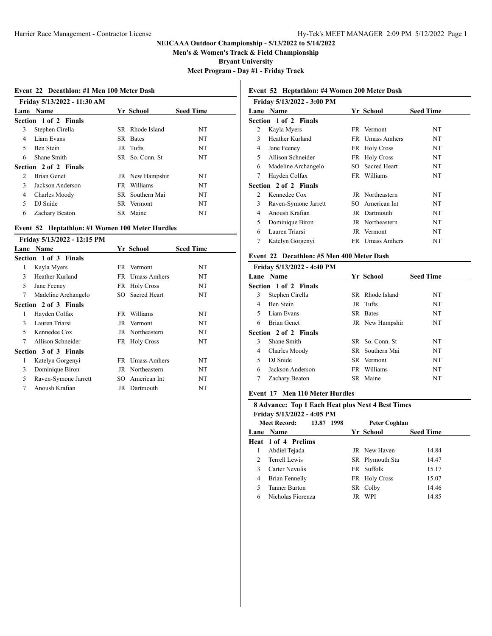**Men's & Women's Track & Field Championship**

**Bryant University**

**Meet Program - Day #1 - Friday Track**

| Event 22 Decathlon: #1 Men 100 Meter Dash |  |  |  |  |  |  |  |
|-------------------------------------------|--|--|--|--|--|--|--|
|-------------------------------------------|--|--|--|--|--|--|--|

|               | Friday 5/13/2022 - 11:30 AM<br>Lane Name |  | Yr School        | <b>Seed Time</b> |  |  |
|---------------|------------------------------------------|--|------------------|------------------|--|--|
|               | Section 1 of 2 Finals                    |  |                  |                  |  |  |
|               |                                          |  |                  |                  |  |  |
| 3             | Stephen Cirella                          |  | SR Rhode Island  | NT               |  |  |
| 4             | Liam Evans                               |  | SR Bates         | NT               |  |  |
| 5.            | Ben Stein                                |  | JR Tufts         | NT.              |  |  |
| 6             | Shane Smith                              |  | SR So. Conn. St. | NT               |  |  |
|               | Section 2 of 2 Finals                    |  |                  |                  |  |  |
| $\mathcal{L}$ | <b>Brian Genet</b>                       |  | JR New Hampshir  | NT               |  |  |
| 3             | Jackson Anderson                         |  | FR Williams      | NT               |  |  |
| 4             | Charles Moody                            |  | SR Southern Mai  | NT               |  |  |
| 5             | DJ Snide                                 |  | SR Vermont       | NT               |  |  |
| 6             | Zachary Beaton                           |  | SR Maine         | NT               |  |  |
|               |                                          |  |                  |                  |  |  |

### **Event 52 Heptathlon: #1 Women 100 Meter Hurdles**

**Friday 5/13/2022 - 12:15 PM**

| Lane        | <b>Name</b>           |     | Yr School           | <b>Seed Time</b> |
|-------------|-----------------------|-----|---------------------|------------------|
|             | Section 1 of 3 Finals |     |                     |                  |
| 1           | Kayla Myers           |     | FR Vermont          | NT.              |
| 3           | Heather Kurland       | FR. | <b>Umass Amhers</b> | NT               |
| 5           | Jane Feeney           |     | FR Holy Cross       | NT.              |
| 7           | Madeline Archangelo   |     | SO Sacred Heart     | NT.              |
|             | Section 2 of 3 Finals |     |                     |                  |
| 1           | Hayden Colfax         | FR. | Williams            | NT               |
| 3           | Lauren Triarsi        |     | JR Vermont          | NT.              |
| $\varsigma$ | Kennedee Cox          |     | JR Northeastern     | NT.              |
| 7           | Allison Schneider     |     | FR Holy Cross       | NT               |
|             | Section 3 of 3 Finals |     |                     |                  |
| 1           | Katelyn Gorgenyi      |     | FR Umass Amhers     | NT.              |
| 3           | Dominique Biron       |     | JR Northeastern     | NT.              |
| 5           | Raven-Symone Jarrett  | SO. | American Int        | NT               |
| 7           | Anoush Krafian        |     | JR Dartmouth        | NT               |

# **Event 52 Heptathlon: #4 Women 200 Meter Dash**

|                | Friday 5/13/2022 - 3:00 PM |     |                     |                  |
|----------------|----------------------------|-----|---------------------|------------------|
| Lane           | <b>Name</b>                |     | Yr School           | <b>Seed Time</b> |
|                | Section 1 of 2 Finals      |     |                     |                  |
| 2              | Kayla Myers                |     | FR Vermont          | NT               |
| 3              | Heather Kurland            |     | FR Umass Amhers     | NT               |
| 4              | Jane Feeney                |     | FR Holy Cross       | NT               |
| 5              | Allison Schneider          |     | FR Holy Cross       | NT               |
| 6              | Madeline Archangelo        | SO. | <b>Sacred Heart</b> | NΤ               |
| 7              | Hayden Colfax              | FR  | Williams            | NT               |
|                | Section 2 of 2 Finals      |     |                     |                  |
| $\mathfrak{D}$ | Kennedee Cox               |     | JR Northeastern     | NT               |
| 3              | Raven-Symone Jarrett       |     | SO American Int     | NT               |
| 4              | Anoush Krafian             |     | JR Dartmouth        | NT               |
| 5              | Dominique Biron            |     | JR Northeastern     | NT               |
| 6              | Lauren Triarsi             |     | JR Vermont          | NT               |
| 7              | Katelyn Gorgenyi           |     | FR Umass Amhers     | NT               |
|                |                            |     |                     |                  |

## **Event 22 Decathlon: #5 Men 400 Meter Dash**

|   | Friday 5/13/2022 - 4:40 PM   |                  |                  |
|---|------------------------------|------------------|------------------|
|   | <b>Lane Name</b>             | Yr School        | <b>Seed Time</b> |
|   | <b>Section 1 of 2 Finals</b> |                  |                  |
| 3 | Stephen Cirella              | SR Rhode Island  | NT               |
| 4 | Ben Stein                    | JR Tufts         | NT               |
| 5 | Liam Evans                   | SR Bates         | NT               |
| 6 | <b>Brian Genet</b>           | JR New Hampshir  | NT               |
|   | Section 2 of 2 Finals        |                  |                  |
| 3 | Shane Smith                  | SR So. Conn. St. | NT               |
| 4 | Charles Moody                | SR Southern Mai  | NT               |
| 5 | DJ Snide                     | SR Vermont       | NT               |
| 6 | Jackson Anderson             | FR Williams      | NT               |
|   | Zachary Beaton               | SR Maine         | NT               |
|   |                              |                  |                  |

#### **Event 17 Men 110 Meter Hurdles**

### **8 Advance: Top 1 Each Heat plus Next 4 Best Times**

**Friday 5/13/2022 - 4:05 PM**

|   | 13.87 1998<br><b>Meet Record:</b> |     | <b>Peter Coghlan</b> |                  |
|---|-----------------------------------|-----|----------------------|------------------|
|   | Lane Name                         |     | Yr School            | <b>Seed Time</b> |
|   | <b>Heat 1 of 4 Prelims</b>        |     |                      |                  |
| 1 | Abdiel Tejada                     |     | <b>JR</b> New Haven  | 14.84            |
| 2 | Terrell Lewis                     |     | SR Plymouth Sta      | 14.47            |
| 3 | Carter Nevulis                    |     | FR Suffolk           | 15.17            |
| 4 | Brian Fennelly                    |     | FR Holy Cross        | 15.07            |
| 5 | <b>Tanner Burton</b>              |     | SR Colby             | 14.46            |
| 6 | Nicholas Fiorenza                 | JR. | WPI                  | 14.85            |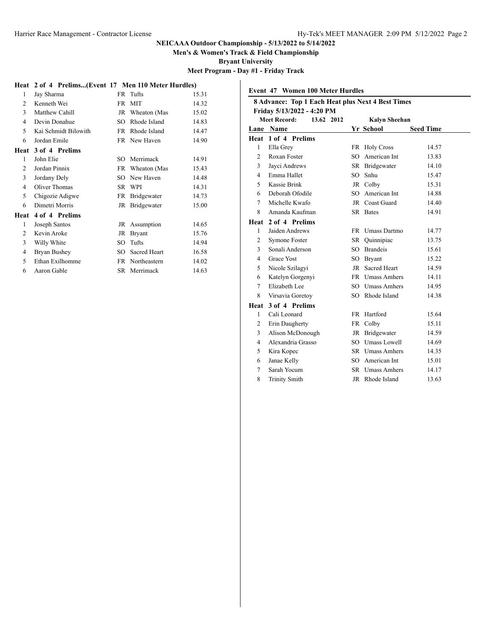**Men's & Women's Track & Field Championship**

**Bryant University**

**Meet Program - Day #1 - Friday Track**

# **Heat 2 of 4 Prelims...(Event 17 Men 110 Meter Hurdles)**

| 1              | Jay Sharma           |     | FR Tufts      | 15.31 |
|----------------|----------------------|-----|---------------|-------|
| $\mathfrak{D}$ | Kenneth Wei          | FR  | <b>MIT</b>    | 14.32 |
| 3              | Matthew Cahill       | JR  | Wheaton (Mas  | 15.02 |
| $\overline{4}$ | Devin Donahue        | SO  | Rhode Island  | 14.83 |
| 5              | Kai Schmidt Bilowith | FR. | Rhode Island  | 14.47 |
| 6              | Jordan Emile         |     | FR New Haven  | 14.90 |
| Heat           | 3 of 4 Prelims       |     |               |       |
| 1              | John Elie            | SO. | Merrimack     | 14.91 |
| $\overline{c}$ | Jordan Pinnix        | FR  | Wheaton (Mas  | 15.43 |
| 3              | Jordany Dely         | SО  | New Haven     | 14.48 |
| $\overline{4}$ | Oliver Thomas        | SR  | WPI           | 14.31 |
| 5              | Chigozie Adigwe      | FR  | Bridgewater   | 14.73 |
| 6              | Dimetri Morris       | JR  | Bridgewater   | 15.00 |
| Heat           | 4 of 4 Prelims       |     |               |       |
| 1              | Joseph Santos        | JR  | Assumption    | 14.65 |
| 2              | Kevin Aroke          | JR  | <b>Bryant</b> | 15.76 |
| 3              | Willy White          | SO  | Tufts         | 14.94 |
| 4              | Bryan Bushey         | SO  | Sacred Heart  | 16.58 |
| 5              | Ethan Exilhomme      | FR  | Northeastern  | 14.02 |
| 6              | Aaron Gable          |     | SR Merrimack  | 14.63 |

| <b>Event 47 Women 100 Meter Hurdles</b> |                                                   |     |                      |                  |  |  |  |
|-----------------------------------------|---------------------------------------------------|-----|----------------------|------------------|--|--|--|
|                                         | 8 Advance: Top 1 Each Heat plus Next 4 Best Times |     |                      |                  |  |  |  |
|                                         | Friday 5/13/2022 - 4:20 PM                        |     |                      |                  |  |  |  |
|                                         | <b>Meet Record:</b><br>13.62 2012                 |     | <b>Kalyn Sheehan</b> |                  |  |  |  |
|                                         | Lane Name                                         |     | Yr School            | <b>Seed Time</b> |  |  |  |
|                                         | Heat 1 of 4 Prelims                               |     |                      |                  |  |  |  |
| 1                                       | Ella Grey                                         |     | FR Holy Cross        | 14.57            |  |  |  |
| $\overline{c}$                          | Roxan Foster                                      | SO. | American Int         | 13.83            |  |  |  |
| 3                                       | Jayci Andrews                                     |     | SR Bridgewater       | 14.10            |  |  |  |
| $\overline{4}$                          | Emma Hallet                                       |     | SO Snhu              | 15.47            |  |  |  |
| 5                                       | Kassie Brink                                      |     | JR Colby             | 15.31            |  |  |  |
| 6                                       | Deborah Ofodile                                   |     | SO American Int      | 14.88            |  |  |  |
| 7                                       | Michelle Kwafo                                    |     | JR Coast Guard       | 14.40            |  |  |  |
| 8                                       | Amanda Kaufman                                    |     | SR Bates             | 14.91            |  |  |  |
| Heat                                    | 2 of 4 Prelims                                    |     |                      |                  |  |  |  |
| 1                                       | Jaiden Andrews                                    |     | FR Umass Dartmo      | 14.77            |  |  |  |
| $\overline{c}$                          | Symone Foster                                     |     | SR Ouinnipiac        | 13.75            |  |  |  |
| 3                                       | Sonali Anderson                                   |     | SO Brandeis          | 15.61            |  |  |  |
| 4                                       | <b>Grace Yost</b>                                 |     | SO Bryant            | 15.22            |  |  |  |
| 5                                       | Nicole Szilagyi                                   | JR  | Sacred Heart         | 14.59            |  |  |  |
| 6                                       | Katelyn Gorgenyi                                  |     | FR Umass Amhers      | 14.11            |  |  |  |
| $\overline{7}$                          | Elizabeth Lee                                     |     | SO Umass Amhers      | 14.95            |  |  |  |
| 8                                       | Virsavia Goretoy                                  |     | SO Rhode Island      | 14.38            |  |  |  |
| Heat                                    | 3 of 4 Prelims                                    |     |                      |                  |  |  |  |
| 1                                       | Cali Leonard                                      |     | FR Hartford          | 15.64            |  |  |  |
| 2                                       | Erin Daugherty                                    | FR  | Colby                | 15.11            |  |  |  |
| 3                                       | Alison McDonough                                  |     | JR Bridgewater       | 14.59            |  |  |  |
| $\overline{4}$                          | Alexandria Grasso                                 |     | SO Umass Lowell      | 14.69            |  |  |  |
| 5                                       | Kira Kopec                                        |     | SR Umass Amhers      | 14.35            |  |  |  |
| 6                                       | Janae Kelly                                       |     | SO American Int      | 15.01            |  |  |  |
| 7                                       | Sarah Yocum                                       |     | SR Umass Amhers      | 14.17            |  |  |  |
| 8                                       | <b>Trinity Smith</b>                              |     | JR Rhode Island      | 13.63            |  |  |  |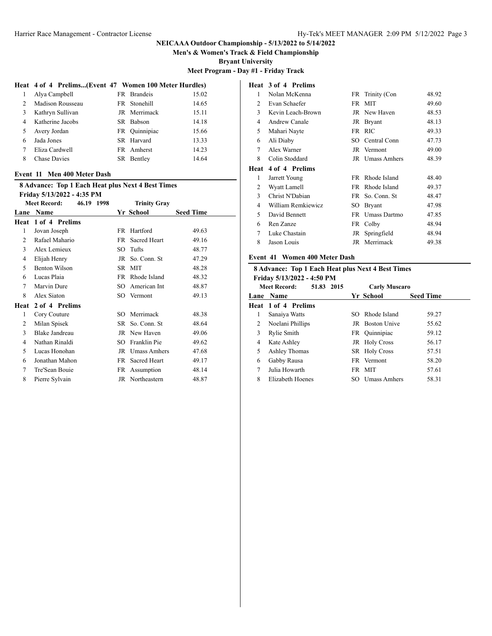**Men's & Women's Track & Field Championship**

**Bryant University**

**Meet Program - Day #1 - Friday Track**

#### **Heat 4 of 4 Prelims...(Event 47 Women 100 Meter Hurdles)**

|                | Alya Campbell       | FR Brandeis   | 15.02 |  |
|----------------|---------------------|---------------|-------|--|
| $\mathfrak{D}$ | Madison Rousseau    | FR Stonehill  | 14.65 |  |
| 3              | Kathryn Sullivan    | JR Merrimack  | 15.11 |  |
| 4              | Katherine Jacobs    | SR Babson     | 14.18 |  |
| 5.             | Avery Jordan        | FR Ouinnipiac | 15.66 |  |
| 6              | Jada Jones          | SR Harvard    | 13.33 |  |
|                | Eliza Cardwell      | FR Amherst    | 14.23 |  |
| 8              | <b>Chase Davies</b> | SR Bentley    | 14.64 |  |
|                |                     |               |       |  |

### **Event 11 Men 400 Meter Dash**

|      | <b>8 Advance: Top 1 Each Heat plus Next 4 Best Times</b> |           |                     |                  |  |  |
|------|----------------------------------------------------------|-----------|---------------------|------------------|--|--|
|      | Friday 5/13/2022 - 4:35 PM                               |           |                     |                  |  |  |
|      | <b>Meet Record:</b><br>46.19 1998                        |           | <b>Trinity Gray</b> |                  |  |  |
| Lane | <b>Name</b>                                              |           | Yr School           | <b>Seed Time</b> |  |  |
| Heat | 1 of 4 Prelims                                           |           |                     |                  |  |  |
| 1    | Jovan Joseph                                             | FR.       | Hartford            | 49.63            |  |  |
| 2    | Rafael Mahario                                           | FR.       | Sacred Heart        | 49.16            |  |  |
| 3    | Alex Lemieux                                             | SO        | Tufts               | 48.77            |  |  |
| 4    | Elijah Henry                                             | JR        | So. Conn. St        | 47.29            |  |  |
| 5    | <b>Benton Wilson</b>                                     |           | SR MIT              | 48.28            |  |  |
| 6    | Lucas Plaia                                              | FR.       | Rhode Island        | 48.32            |  |  |
| 7    | Marvin Dure                                              | SO        | American Int        | 48.87            |  |  |
| 8    | Alex Siaton                                              | SO.       | Vermont             | 49.13            |  |  |
| Heat | 2 of 4 Prelims                                           |           |                     |                  |  |  |
| 1    | Cory Couture                                             | SO.       | Merrimack           | 48.38            |  |  |
| 2    | Milan Spisek                                             | SR.       | So. Conn. St        | 48.64            |  |  |
| 3    | Blake Jandreau                                           |           | JR New Haven        | 49.06            |  |  |
| 4    | Nathan Rinaldi                                           | SO.       | Franklin Pie        | 49.62            |  |  |
| 5    | Lucas Honohan                                            | JR        | <b>Umass Amhers</b> | 47.68            |  |  |
| 6    | Jonathan Mahon                                           | <b>FR</b> | Sacred Heart        | 49.17            |  |  |
| 7    | Tre'Sean Bouie                                           | FR        | Assumption          | 48.14            |  |  |
| 8    | Pierre Sylvain                                           |           | JR Northeastern     | 48.87            |  |  |
|      |                                                          |           |                     |                  |  |  |

# **Heat 3 of 4 Prelims** 1 Nolan McKenna FR Trinity (Con 48.92 2 Evan Schaefer FR MIT 49.60 3 Kevin Leach-Brown JR New Haven 48.53 4 Andrew Canale JR Bryant 48.13 5 Mahari Nayte FR RIC 49.33 6 Ali Diaby SO Central Conn 47.73 7 Alex Warner JR Vermont 49.00 8 Colin Stoddard JR Umass Amhers 48.39 **Heat 4 of 4 Prelims** 1 Jarrett Young FR Rhode Island 48.40 2 Wyatt Lamell FR Rhode Island 49.37 3 Christ N'Dabian FR So. Conn. St 48.47 4 William Remkiewicz SO Bryant 47.98 5 David Bennett FR Umass Dartmo 47.85 6 Ren Zanze FR Colby 48.94 7 Luke Chastain JR Springfield 48.94 8 Jason Louis JR Merrimack 49.38

### **Event 41 Women 400 Meter Dash**

#### **8 Advance: Top 1 Each Heat plus Next 4 Best Times**

|   | Friday 5/13/2022 - 4:50 PM<br><b>Meet Record:</b><br>51.83 2015 |     | <b>Carly Muscaro</b>   |                  |
|---|-----------------------------------------------------------------|-----|------------------------|------------------|
|   | Lane Name                                                       |     | Yr School              | <b>Seed Time</b> |
|   | Heat 1 of 4 Prelims                                             |     |                        |                  |
| 1 | Sanaiya Watts                                                   | SO. | Rhode Island           | 59.27            |
| 2 | Noelani Phillips                                                |     | <b>JR</b> Boston Unive | 55.62            |
| 3 | Rylie Smith                                                     |     | FR Quinnipiac          | 59.12            |
| 4 | Kate Ashley                                                     |     | JR Holy Cross          | 56.17            |
| 5 | Ashley Thomas                                                   |     | SR Holy Cross          | 57.51            |
| 6 | Gabby Rausa                                                     |     | FR Vermont             | 58.20            |
| 7 | Julia Howarth                                                   |     | FR MIT                 | 57.61            |
| 8 | Elizabeth Hoenes                                                | SO  | Umass Amhers           | 58.31            |
|   |                                                                 |     |                        |                  |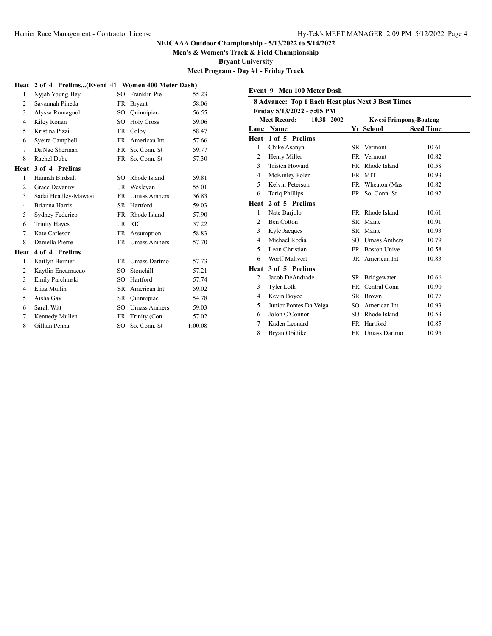**Men's & Women's Track & Field Championship**

**Bryant University**

**Meet Program - Day #1 - Friday Track**

# **Heat 2 of 4 Prelims...(Event 41 Women 400 Meter Dash)**

| 1                        | Nyjah Young-Bey      | SO        | Franklin Pie        | 55.23   |
|--------------------------|----------------------|-----------|---------------------|---------|
| 2                        | Savannah Pineda      | FR        | <b>Bryant</b>       | 58.06   |
| 3                        | Alyssa Romagnoli     | SO -      | Quinnipiac          | 56.55   |
| 4                        | Kiley Ronan          | SO.       | <b>Holy Cross</b>   | 59.06   |
| 5                        | Kristina Pizzi       | <b>FR</b> | Colby               | 58.47   |
| 6                        | Syeira Campbell      | <b>FR</b> | American Int        | 57.66   |
| $\tau$                   | Da'Nae Sherman       | <b>FR</b> | So. Conn. St        | 59.77   |
| 8                        | Rachel Dube          | FR.       | So. Conn. St        | 57.30   |
| Heat                     | 3 of 4 Prelims       |           |                     |         |
| 1                        | Hannah Birdsall      | SO.       | Rhode Island        | 59.81   |
| 2                        | Grace Devanny        | JR        | Weslevan            | 55.01   |
| 3                        | Sadai Headley-Mawasi | <b>FR</b> | <b>Umass Amhers</b> | 56.83   |
| 4                        | Brianna Harris       | SR.       | Hartford            | 59.03   |
| 5                        | Sydney Federico      | <b>FR</b> | Rhode Island        | 57.90   |
| 6                        | <b>Trinity Hayes</b> | JR        | <b>RIC</b>          | 57.22   |
| 7                        | Kate Carleson        | FR        | Assumption          | 58.83   |
| 8                        | Daniella Pierre      |           | FR Umass Amhers     | 57.70   |
| Heat                     | 4 of 4 Prelims       |           |                     |         |
| 1                        | Kaitlyn Bernier      | FR.       | Umass Dartmo        | 57.73   |
| 2                        | Kaytlin Encarnacao   | SO.       | Stonehill           | 57.21   |
| 3                        | Emily Parchinski     | SO.       | Hartford            | 57.74   |
| $\overline{\mathcal{L}}$ | Eliza Mullin         | <b>SR</b> | American Int        | 59.02   |
| 5                        | Aisha Gay            | SR        | Quinnipiac          | 54.78   |
| 6                        | Sarah Witt           | SO        | <b>Umass Amhers</b> | 59.03   |
| 7                        | Kennedy Mullen       | FR        | Trinity (Con        | 57.02   |
| 8                        | Gillian Penna        | SO.       | So. Conn. St        | 1:00.08 |

|                | Event 9 Men 100 Meter Dash                                                      |           |                               |                  |  |  |
|----------------|---------------------------------------------------------------------------------|-----------|-------------------------------|------------------|--|--|
|                | 8 Advance: Top 1 Each Heat plus Next 3 Best Times<br>Friday 5/13/2022 - 5:05 PM |           |                               |                  |  |  |
|                | Meet Record:<br>10.38 2002                                                      |           | <b>Kwesi Frimpong-Boateng</b> |                  |  |  |
|                | Lane Name                                                                       |           | Yr School                     | <b>Seed Time</b> |  |  |
| Heat           | 1 of 5 Prelims                                                                  |           |                               |                  |  |  |
| 1              | Chike Asanya                                                                    |           | SR Vermont                    | 10.61            |  |  |
| $\overline{c}$ | Henry Miller                                                                    |           | FR Vermont                    | 10.82            |  |  |
| 3              | <b>Tristen Howard</b>                                                           |           | FR Rhode Island               | 10.58            |  |  |
| $\overline{4}$ | McKinley Polen                                                                  | <b>FR</b> | <b>MIT</b>                    | 10.93            |  |  |
| 5              | Kelvin Peterson                                                                 |           | FR Wheaton (Mas               | 10.82            |  |  |
| 6              | <b>Tariq Phillips</b>                                                           |           | FR So. Conn. St               | 10.92            |  |  |
| Heat           | 2 of 5 Prelims                                                                  |           |                               |                  |  |  |
| 1              | Nate Barjolo                                                                    | FR        | Rhode Island                  | 10.61            |  |  |
| 2              | <b>Ben Cotton</b>                                                               | SR.       | Maine                         | 10.91            |  |  |
| 3              | Kyle Jacques                                                                    |           | SR Maine                      | 10.93            |  |  |
| 4              | Michael Rodia                                                                   | SO.       | <b>Umass Amhers</b>           | 10.79            |  |  |
| 5              | Leon Christian                                                                  |           | FR Boston Unive               | 10.58            |  |  |
| 6              | Worlf Malivert                                                                  |           | JR American Int               | 10.83            |  |  |
|                | Heat 3 of 5 Prelims                                                             |           |                               |                  |  |  |
| 2              | Jacob DeAndrade                                                                 |           | SR Bridgewater                | 10.66            |  |  |
| 3              | <b>Tyler Loth</b>                                                               | <b>FR</b> | Central Conn                  | 10.90            |  |  |
| 4              | Kevin Boyce                                                                     |           | SR Brown                      | 10.77            |  |  |
| 5              | Junior Pontes Da Veiga                                                          |           | SO American Int               | 10.93            |  |  |
| 6              | Jolon O'Connor                                                                  | SО        | Rhode Island                  | 10.53            |  |  |
| 7              | Kaden Leonard                                                                   | <b>FR</b> | Hartford                      | 10.85            |  |  |
| 8              | Bryan Obidike                                                                   |           | FR Umass Dartmo               | 10.95            |  |  |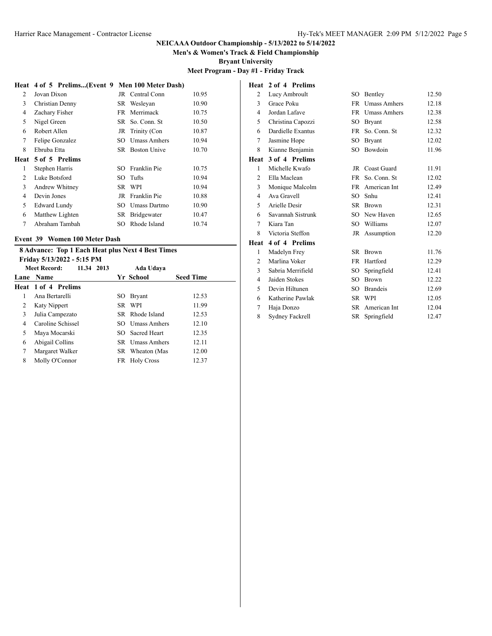**Men's & Women's Track & Field Championship**

**Bryant University**

**Meet Program - Day #1 - Friday Track**

|                |                        |      |                     | Meet Pro |
|----------------|------------------------|------|---------------------|----------|
| Heat           | 4 of 5 Prelims(Event 9 |      | Men 100 Meter Dash) |          |
| 2              | Jovan Dixon            | JR.  | Central Conn        | 10.95    |
| 3              | Christian Denny        | SR.  | Wesleyan            | 10.90    |
| 4              | Zachary Fisher         | FR.  | Merrimack           | 10.75    |
| 5              | Nigel Green            | SR - | So. Conn. St        | 10.50    |
| 6              | Robert Allen           | JR   | Trinity (Con        | 10.87    |
| 7              | Felipe Gonzalez        | SO   | Umass Amhers        | 10.94    |
| 8              | Ebruba Etta            | SR.  | <b>Boston Unive</b> | 10.70    |
| Heat           | 5 of 5 Prelims         |      |                     |          |
| 1              | Stephen Harris         | SO.  | Franklin Pie        | 10.75    |
| $\mathfrak{D}$ | Luke Botsford          | SO.  | Tufts               | 10.94    |
| 3              | Andrew Whitney         | SR.  | WPI                 | 10.94    |
| $\overline{4}$ | Devin Jones            | JR.  | Franklin Pie        | 10.88    |
| 5              | <b>Edward Lundy</b>    | SО   | Umass Dartmo        | 10.90    |
| 6              | Matthew Lighten        | SR   | Bridgewater         | 10.47    |
| 7              | Abraham Tambah         | SO.  | Rhode Island        | 10.74    |
|                |                        |      |                     |          |

# **Event 39 Women 100 Meter Dash**

|   | <b>8 Advance: Top 1 Each Heat plus Next 4 Best Times</b> |     |                        |                  |  |  |  |
|---|----------------------------------------------------------|-----|------------------------|------------------|--|--|--|
|   | Friday 5/13/2022 - 5:15 PM                               |     |                        |                  |  |  |  |
|   | <b>Meet Record:</b><br>11.34 2013                        |     | Ada Udava              |                  |  |  |  |
|   | Lane Name                                                |     | Yr School              | <b>Seed Time</b> |  |  |  |
|   | <b>Heat 1 of 4 Prelims</b>                               |     |                        |                  |  |  |  |
| 1 | Ana Bertarelli                                           | SO. | <b>Bryant</b>          | 12.53            |  |  |  |
| 2 | <b>Katy Nippert</b>                                      |     | SR WPI                 | 11.99            |  |  |  |
| 3 | Julia Campezato                                          |     | SR Rhode Island        | 12.53            |  |  |  |
| 4 | Caroline Schissel                                        |     | SO Umass Amhers        | 12.10            |  |  |  |
| 5 | Maya Mocarski                                            |     | SO Sacred Heart        | 12.35            |  |  |  |
| 6 | Abigail Collins                                          |     | <b>SR</b> Umass Amhers | 12.11            |  |  |  |
| 7 | Margaret Walker                                          |     | SR Wheaton (Mas        | 12.00            |  |  |  |
| 8 | Molly O'Connor                                           |     | FR Holy Cross          | 12.37            |  |  |  |
|   |                                                          |     |                        |                  |  |  |  |

| Heat           | 2 of 4 Prelims         |           |                     |       |
|----------------|------------------------|-----------|---------------------|-------|
| $\overline{c}$ | Lucy Ambroult          | SO.       | Bentley             | 12.50 |
| 3              | Grace Poku             | <b>FR</b> | Umass Amhers        | 12.18 |
| 4              | Jordan Lafave          | <b>FR</b> | <b>Umass Amhers</b> | 12.38 |
| 5              | Christina Capozzi      | SO        | <b>Bryant</b>       | 12.58 |
| 6              | Dardielle Exantus      | <b>FR</b> | So. Conn. St.       | 12.32 |
| 7              | Jasmine Hope           | SO.       | <b>Bryant</b>       | 12.02 |
| 8              | Kianne Benjamin        | SO.       | Bowdoin             | 11.96 |
| Heat           | 3 of 4 Prelims         |           |                     |       |
| 1              | Michelle Kwafo         | JR        | Coast Guard         | 11.91 |
| $\overline{c}$ | Ella Maclean           | FR        | So. Conn. St        | 12.02 |
| 3              | Monique Malcolm        | <b>FR</b> | American Int        | 12.49 |
| 4              | Ava Gravell            | SO        | Snhu                | 12.41 |
| 5              | Arielle Desir          |           | SR Brown            | 12.31 |
| 6              | Savannah Sistrunk      |           | SO New Haven        | 12.65 |
| 7              | Kiara Tan              |           | SO Williams         | 12.07 |
| 8              | Victoria Steffon       | JR        | Assumption          | 12.20 |
| Heat           | 4 of 4 Prelims         |           |                     |       |
| 1              | Madelyn Frey           | SR -      | <b>Brown</b>        | 11.76 |
| $\overline{c}$ | Marlina Voker          | <b>FR</b> | Hartford            | 12.29 |
| 3              | Sabria Merrifield      | SO        | Springfield         | 12.41 |
| 4              | Jaiden Stokes          | SO.       | <b>Brown</b>        | 12.22 |
| 5              | Devin Hiltunen         |           | SO Brandeis         | 12.69 |
| 6              | Katherine Pawlak       | SR        | WPI                 | 12.05 |
| 7              | Haja Donzo             | SR.       | American Int        | 12.04 |
| 8              | <b>Sydney Fackrell</b> | SR        | Springfield         | 12.47 |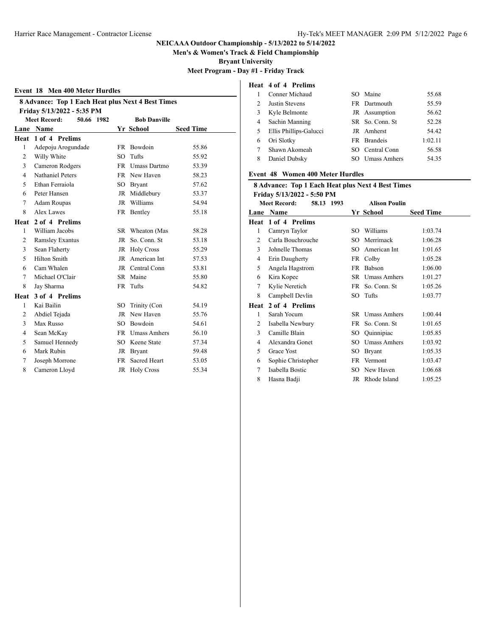**Men's & Women's Track & Field Championship**

**Bryant University**

**Meet Program - Day #1 - Friday Track**

### **Event 18 Men 400 Meter Hurdles**

| 8 Advance: Top 1 Each Heat plus Next 4 Best Times |                                   |           |                     |                  |
|---------------------------------------------------|-----------------------------------|-----------|---------------------|------------------|
|                                                   | Friday 5/13/2022 - 5:35 PM        |           |                     |                  |
|                                                   | <b>Meet Record:</b><br>50.66 1982 |           | <b>Bob Danville</b> |                  |
|                                                   | Lane Name                         |           | Yr School           | <b>Seed Time</b> |
| Heat                                              | 1 of 4 Prelims                    |           |                     |                  |
| $\mathbf{1}$                                      | Adepoju Arogundade                |           | FR Bowdoin          | 55.86            |
| $\overline{2}$                                    | Willy White                       | $SO^-$    | Tufts               | 55.92            |
| 3                                                 | Cameron Rodgers                   |           | FR Umass Dartmo     | 53.39            |
| $\overline{4}$                                    | <b>Nathaniel Peters</b>           |           | FR New Haven        | 58.23            |
| 5                                                 | Ethan Ferraiola                   |           | SO Bryant           | 57.62            |
| 6                                                 | Peter Hansen                      |           | JR Middlebury       | 53.37            |
| $\tau$                                            | Adam Roupas                       |           | JR Williams         | 54.94            |
| 8                                                 | Alex Lawes                        |           | FR Bentley          | 55.18            |
|                                                   | Heat 2 of 4 Prelims               |           |                     |                  |
| 1                                                 | William Jacobs                    |           | SR Wheaton (Mas     | 58.28            |
| 2                                                 | <b>Ramsley Exantus</b>            |           | JR So. Conn. St     | 53.18            |
| 3                                                 | Sean Flaherty                     |           | JR Holy Cross       | 55.29            |
| 5                                                 | <b>Hilton Smith</b>               |           | JR American Int     | 57.53            |
| 6                                                 | Cam Whalen                        |           | JR Central Conn     | 53.81            |
| 7                                                 | Michael O'Clair                   |           | SR Maine            | 55.80            |
| 8                                                 | Jay Sharma                        |           | FR Tufts            | 54.82            |
| Heat                                              | 3 of 4 Prelims                    |           |                     |                  |
| 1                                                 | Kai Bailin                        |           | SO Trinity (Con     | 54.19            |
| $\overline{c}$                                    | Abdiel Tejada                     |           | JR New Haven        | 55.76            |
| 3                                                 | Max Russo                         |           | SO Bowdoin          | 54.61            |
| $\overline{4}$                                    | Sean McKay                        |           | FR Umass Amhers     | 56.10            |
| 5                                                 | Samuel Hennedy                    |           | SO Keene State      | 57.34            |
| 6                                                 | Mark Rubin                        |           | JR Bryant           | 59.48            |
| 7                                                 | Joseph Morrone                    | <b>FR</b> | Sacred Heart        | 53.05            |
| 8                                                 | Cameron Lloyd                     |           | JR Holy Cross       | 55.34            |
|                                                   |                                   |           |                     |                  |

# **Heat 4 of 4 Prelims**

| Conner Michaud         |     |                     | 55.68                                                                                                        |
|------------------------|-----|---------------------|--------------------------------------------------------------------------------------------------------------|
| Justin Stevens         |     |                     | 55.59                                                                                                        |
| Kyle Belmonte          |     |                     | 56.62                                                                                                        |
| Sachin Manning         |     |                     | 52.28                                                                                                        |
| Ellis Phillips-Galucci |     |                     | 54.42                                                                                                        |
| Ori Slotky             |     |                     | 1:02.11                                                                                                      |
| Shawn Akomeah          |     |                     | 56.58                                                                                                        |
| Daniel Dubsky          | SO. | <b>Umass Amhers</b> | 54.35                                                                                                        |
|                        |     |                     | SO Maine<br>FR Dartmouth<br>JR Assumption<br>SR So. Conn. St<br>JR Amherst<br>FR Brandeis<br>SO Central Conn |

## **Event 48 Women 400 Meter Hurdles**

| Friday 5/13/2022 - 5:50 PM<br><b>Meet Record:</b><br><b>Alison Poulin</b><br>58.13 1993<br>Yr School<br><b>Seed Time</b><br>Name<br>Lane<br>1 of 4 Prelims<br>Heat<br>1<br>Camryn Taylor<br>SO Williams<br>1:03.74<br>$\overline{c}$<br>Carla Bouchrouche<br>Merrimack<br>1:06.28<br>$SO^-$<br>3<br>American Int<br>Johnelle Thomas<br>1:01.65<br>SO.<br>1:05.28<br>Erin Daugherty<br>Colby<br>4<br>FR -<br>5<br>Babson<br>1:06.00<br>Angela Hagstrom<br>FR<br>1:01.27<br>Kira Kopec<br>SR Umass Amhers<br>6<br>Kylie Neretich<br>So. Conn. St<br>7<br>1:05.26<br><b>FR</b><br>8<br>Campbell Devlin<br>SO Tufts<br>1:03.77<br>2 of 4 Prelims<br>Heat<br>Sarah Yocum<br>SR Umass Amhers<br>1<br>1:00.44<br>2<br>So. Conn. St<br>1:01.65<br>Isabella Newbury<br>FR<br>3<br>Camille Blain<br>SO.<br>Quinnipiac<br>1:05.85<br>Alexandra Gonet<br><b>Umass Amhers</b><br>1:03.92<br>4<br>SO.<br>5<br>Grace Yost<br>1:05.35<br>SO.<br><b>Bryant</b><br>Sophie Christopher<br>1:03.47<br>6<br>FR Vermont<br>Isabella Bostic<br>New Haven<br>1:06.68<br>7<br>SO. | 8 Advance: Top 1 Each Heat plus Next 4 Best Times |             |    |              |         |
|----------------------------------------------------------------------------------------------------------------------------------------------------------------------------------------------------------------------------------------------------------------------------------------------------------------------------------------------------------------------------------------------------------------------------------------------------------------------------------------------------------------------------------------------------------------------------------------------------------------------------------------------------------------------------------------------------------------------------------------------------------------------------------------------------------------------------------------------------------------------------------------------------------------------------------------------------------------------------------------------------------------------------------------------------------|---------------------------------------------------|-------------|----|--------------|---------|
|                                                                                                                                                                                                                                                                                                                                                                                                                                                                                                                                                                                                                                                                                                                                                                                                                                                                                                                                                                                                                                                          |                                                   |             |    |              |         |
|                                                                                                                                                                                                                                                                                                                                                                                                                                                                                                                                                                                                                                                                                                                                                                                                                                                                                                                                                                                                                                                          |                                                   |             |    |              |         |
|                                                                                                                                                                                                                                                                                                                                                                                                                                                                                                                                                                                                                                                                                                                                                                                                                                                                                                                                                                                                                                                          |                                                   |             |    |              |         |
|                                                                                                                                                                                                                                                                                                                                                                                                                                                                                                                                                                                                                                                                                                                                                                                                                                                                                                                                                                                                                                                          |                                                   |             |    |              |         |
|                                                                                                                                                                                                                                                                                                                                                                                                                                                                                                                                                                                                                                                                                                                                                                                                                                                                                                                                                                                                                                                          |                                                   |             |    |              |         |
|                                                                                                                                                                                                                                                                                                                                                                                                                                                                                                                                                                                                                                                                                                                                                                                                                                                                                                                                                                                                                                                          |                                                   |             |    |              |         |
|                                                                                                                                                                                                                                                                                                                                                                                                                                                                                                                                                                                                                                                                                                                                                                                                                                                                                                                                                                                                                                                          |                                                   |             |    |              |         |
|                                                                                                                                                                                                                                                                                                                                                                                                                                                                                                                                                                                                                                                                                                                                                                                                                                                                                                                                                                                                                                                          |                                                   |             |    |              |         |
|                                                                                                                                                                                                                                                                                                                                                                                                                                                                                                                                                                                                                                                                                                                                                                                                                                                                                                                                                                                                                                                          |                                                   |             |    |              |         |
|                                                                                                                                                                                                                                                                                                                                                                                                                                                                                                                                                                                                                                                                                                                                                                                                                                                                                                                                                                                                                                                          |                                                   |             |    |              |         |
|                                                                                                                                                                                                                                                                                                                                                                                                                                                                                                                                                                                                                                                                                                                                                                                                                                                                                                                                                                                                                                                          |                                                   |             |    |              |         |
|                                                                                                                                                                                                                                                                                                                                                                                                                                                                                                                                                                                                                                                                                                                                                                                                                                                                                                                                                                                                                                                          |                                                   |             |    |              |         |
|                                                                                                                                                                                                                                                                                                                                                                                                                                                                                                                                                                                                                                                                                                                                                                                                                                                                                                                                                                                                                                                          |                                                   |             |    |              |         |
|                                                                                                                                                                                                                                                                                                                                                                                                                                                                                                                                                                                                                                                                                                                                                                                                                                                                                                                                                                                                                                                          |                                                   |             |    |              |         |
|                                                                                                                                                                                                                                                                                                                                                                                                                                                                                                                                                                                                                                                                                                                                                                                                                                                                                                                                                                                                                                                          |                                                   |             |    |              |         |
|                                                                                                                                                                                                                                                                                                                                                                                                                                                                                                                                                                                                                                                                                                                                                                                                                                                                                                                                                                                                                                                          |                                                   |             |    |              |         |
|                                                                                                                                                                                                                                                                                                                                                                                                                                                                                                                                                                                                                                                                                                                                                                                                                                                                                                                                                                                                                                                          |                                                   |             |    |              |         |
|                                                                                                                                                                                                                                                                                                                                                                                                                                                                                                                                                                                                                                                                                                                                                                                                                                                                                                                                                                                                                                                          |                                                   |             |    |              |         |
|                                                                                                                                                                                                                                                                                                                                                                                                                                                                                                                                                                                                                                                                                                                                                                                                                                                                                                                                                                                                                                                          |                                                   |             |    |              |         |
|                                                                                                                                                                                                                                                                                                                                                                                                                                                                                                                                                                                                                                                                                                                                                                                                                                                                                                                                                                                                                                                          | 8                                                 | Hasna Badji | JR | Rhode Island | 1:05.25 |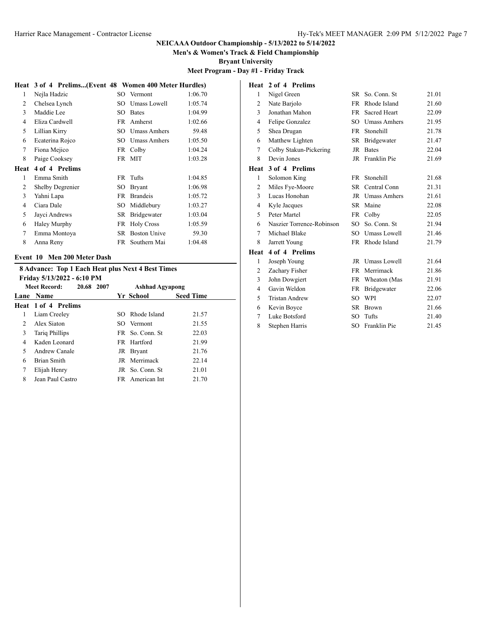**Men's & Women's Track & Field Championship**

**Heat 2 of 4 Prelims**

**Bryant University**

# **Meet Program - Day #1 - Friday Track**

#### **Heat 3 of 4 Prelims...(Event 48 Women 400 Meter Hurdles)**

| 1              | Nejla Hadzic            | SO. | Vermont             | 1:06.70 |
|----------------|-------------------------|-----|---------------------|---------|
| $\overline{2}$ | Chelsea Lynch           | SO  | <b>Umass Lowell</b> | 1:05.74 |
| 3              | Maddie Lee              | SO  | <b>Bates</b>        | 1:04.99 |
| $\overline{4}$ | Eliza Cardwell          | FR  | Amherst             | 1:02.66 |
| 5              | Lillian Kirry           | SO  | Umass Amhers        | 59.48   |
| 6              | Ecaterina Rojco         | SО  | <b>Umass Amhers</b> | 1:05.50 |
| 7              | Fiona Mejico            | FR  | Colby               | 1:04.24 |
| 8              | Paige Cooksey           | FR  | <b>MIT</b>          | 1:03.28 |
| Heat           | 4 of 4 Prelims          |     |                     |         |
|                |                         |     |                     |         |
| 1              | Emma Smith              | FR  | Tufts               | 1:04.85 |
| 2              | <b>Shelby Degrenier</b> | SО  | <b>Bryant</b>       | 1:06.98 |
| 3              | Yahni Lapa              | FR  | <b>Brandeis</b>     | 1:05.72 |
| $\overline{4}$ | Ciara Dale              | SO  | Middlebury          | 1:03.27 |
| 5              | Jayci Andrews           | SR. | <b>Bridgewater</b>  | 1:03.04 |
| 6              | <b>Haley Murphy</b>     | FR  | <b>Holy Cross</b>   | 1:05.59 |
| 7              | Emma Montoya            | SR  | <b>Boston Unive</b> | 59.30   |
| 8              | Anna Reny               | FR  | Southern Mai        | 1:04.48 |

## **Event 10 Men 200 Meter Dash**

# **8 Advance: Top 1 Each Heat plus Next 4 Best Times**

| Friday 5/13/2022 - 6:10 PM |  |                        |                                                                                                                                                   |  |
|----------------------------|--|------------------------|---------------------------------------------------------------------------------------------------------------------------------------------------|--|
| Meet Record:<br>20.68 2007 |  | <b>Ashhad Agyapong</b> |                                                                                                                                                   |  |
| Lane Name                  |  |                        | <b>Seed Time</b>                                                                                                                                  |  |
| <b>Heat 1 of 4 Prelims</b> |  |                        |                                                                                                                                                   |  |
| Liam Creeley               |  |                        | 21.57                                                                                                                                             |  |
| Alex Siaton                |  |                        | 21.55                                                                                                                                             |  |
| <b>Tariq Phillips</b>      |  |                        | 22.03                                                                                                                                             |  |
| Kaden Leonard              |  |                        | 21.99                                                                                                                                             |  |
| Andrew Canale              |  |                        | 21.76                                                                                                                                             |  |
| Brian Smith                |  |                        | 22.14                                                                                                                                             |  |
| Elijah Henry               |  |                        | 21.01                                                                                                                                             |  |
| Jean Paul Castro           |  |                        | 21.70                                                                                                                                             |  |
|                            |  |                        | Yr School<br>SO Rhode Island<br>SO Vermont<br>FR So. Conn. St.<br>FR Hartford<br>JR Bryant<br>JR Merrimack<br>JR So. Conn. St.<br>FR American Int |  |

| 1              | Nigel Green               | SR          | So. Conn. St        | 21.01 |
|----------------|---------------------------|-------------|---------------------|-------|
| 2              | Nate Barjolo              | FR          | Rhode Island        | 21.60 |
| 3              | Jonathan Mahon            | <b>FR</b>   | Sacred Heart        | 22.09 |
| 4              | Felipe Gonzalez           | SO.         | <b>Umass Amhers</b> | 21.95 |
| 5              | Shea Drugan               | <b>FR</b>   | Stonehill           | 21.78 |
| 6              | Matthew Lighten           | SR          | <b>Bridgewater</b>  | 21.47 |
| 7              | Colby Stakun-Pickering    | JR.         | <b>Bates</b>        | 22.04 |
| 8              | Devin Jones               |             | JR Franklin Pie     | 21.69 |
| Heat           | 3 of 4 Prelims            |             |                     |       |
| 1              | Solomon King              | FR.         | Stonehill           | 21.68 |
| $\overline{c}$ | Miles Fye-Moore           | SR          | Central Conn        | 21.31 |
| 3              | Lucas Honohan             | $_{\rm JR}$ | <b>Umass Amhers</b> | 21.61 |
| 4              | Kyle Jacques              | SR -        | Maine               | 22.08 |
| 5              | Peter Martel              |             | FR Colby            | 22.05 |
| 6              | Naszier Torrence-Robinson | $SO^-$      | So. Conn. St        | 21.94 |
| 7              | Michael Blake             |             | SO Umass Lowell     | 21.46 |
| 8              | Jarrett Young             | FR          | Rhode Island        | 21.79 |
| Heat           | 4 of 4 Prelims            |             |                     |       |
| 1              | Joseph Young              |             | JR Umass Lowell     | 21.64 |
| 2              | Zachary Fisher            | <b>FR</b>   | Merrimack           | 21.86 |
| 3              | John Dowgiert             |             | FR Wheaton (Mas     | 21.91 |
| 4              | Gavin Weldon              | <b>FR</b>   | Bridgewater         | 22.06 |
| 5              | <b>Tristan Andrew</b>     | SO          | WPI                 | 22.07 |
| 6              | Kevin Boyce               | SR          | <b>Brown</b>        | 21.66 |
| 7              | Luke Botsford             | SO          | Tufts               | 21.40 |
| 8              | Stephen Harris            | SO          | Franklin Pie        | 21.45 |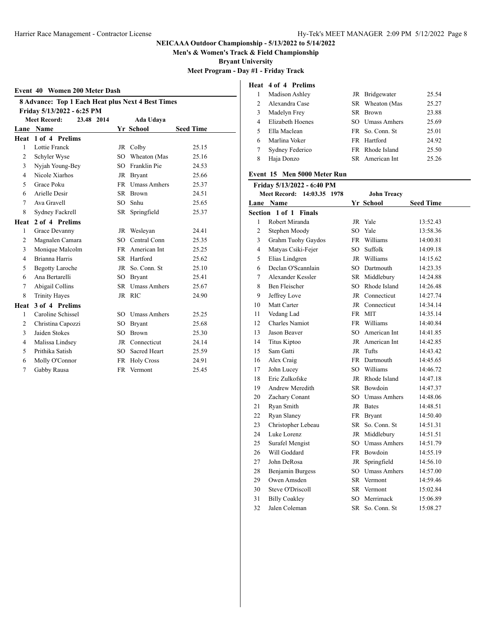**Men's & Women's Track & Field Championship**

**Bryant University**

**Meet Program - Day #1 - Friday Track**

#### **Event 40 Women 200 Meter Dash**

| <b>8 Advance: Top 1 Each Heat plus Next 4 Best Times</b><br>Friday 5/13/2022 - 6:25 PM |                                   |             |                 |                  |  |
|----------------------------------------------------------------------------------------|-----------------------------------|-------------|-----------------|------------------|--|
|                                                                                        | <b>Meet Record:</b><br>23.48 2014 |             | Ada Udaya       |                  |  |
|                                                                                        | Lane Name                         |             | Yr School       | <b>Seed Time</b> |  |
|                                                                                        | Heat 1 of 4 Prelims               |             |                 |                  |  |
| 1                                                                                      | <b>Lottie Franck</b>              |             | JR Colby        | 25.15            |  |
| 2                                                                                      | Schyler Wyse                      |             | SO Wheaton (Mas | 25.16            |  |
| 3                                                                                      | Nyjah Young-Bey                   |             | SO Franklin Pie | 24.53            |  |
| $\overline{4}$                                                                         | Nicole Xiarhos                    |             | JR Bryant       | 25.66            |  |
| 5                                                                                      | Grace Poku                        |             | FR Umass Amhers | 25.37            |  |
| 6                                                                                      | Arielle Desir                     |             | SR Brown        | 24.51            |  |
| 7                                                                                      | Ava Gravell                       | $SO^-$      | Snhu            | 25.65            |  |
| 8                                                                                      | Sydney Fackrell                   | SR –        | Springfield     | 25.37            |  |
| Heat                                                                                   | 2 of 4 Prelims                    |             |                 |                  |  |
| 1                                                                                      | Grace Devanny                     |             | JR Wesleyan     | 24.41            |  |
| $\overline{c}$                                                                         | Magnalen Camara                   |             | SO Central Conn | 25.35            |  |
| 3                                                                                      | Monique Malcolm                   |             | FR American Int | 25.25            |  |
| $\overline{4}$                                                                         | Brianna Harris                    |             | SR Hartford     | 25.62            |  |
| 5                                                                                      | <b>Begotty Laroche</b>            | $_{\rm JR}$ | So. Conn. St    | 25.10            |  |
| 6                                                                                      | Ana Bertarelli                    |             | SO Bryant       | 25.41            |  |
| 7                                                                                      | Abigail Collins                   |             | SR Umass Amhers | 25.67            |  |
| 8                                                                                      | <b>Trinity Hayes</b>              |             | JR RIC          | 24.90            |  |
| Heat                                                                                   | 3 of 4 Prelims                    |             |                 |                  |  |
| $\mathbf{1}$                                                                           | Caroline Schissel                 |             | SO Umass Amhers | 25.25            |  |
| $\overline{2}$                                                                         | Christina Capozzi                 |             | SO Bryant       | 25.68            |  |
| 3                                                                                      | Jaiden Stokes                     | $SO^-$      | <b>Brown</b>    | 25.30            |  |
| $\overline{4}$                                                                         | Malissa Lindsey                   |             | JR Connecticut  | 24.14            |  |
| 5                                                                                      | Prithika Satish                   | SO -        | Sacred Heart    | 25.59            |  |
| 6                                                                                      | Molly O'Connor                    |             | FR Holy Cross   | 24.91            |  |
| $\tau$                                                                                 | Gabby Rausa                       |             | FR Vermont      | 25.45            |  |

# **Heat 4 of 4 Prelims**

|                | Madison Ashley   | JR Bridgewater   | 25.54 |
|----------------|------------------|------------------|-------|
| $\mathfrak{D}$ | Alexandra Case   | SR Wheaton (Mas  | 25.27 |
| 3              | Madelyn Frey     | SR Brown         | 23.88 |
| 4              | Elizabeth Hoenes | SO Umass Amhers  | 25.69 |
| 5              | Ella Maclean     | FR So. Conn. St. | 25.01 |
| 6              | Marlina Voker    | FR Hartford      | 24.92 |
|                | Sydney Federico  | FR Rhode Island  | 25.50 |
| 8              | Haja Donzo       | SR American Int  | 25.26 |

### **Event 15 Men 5000 Meter Run**

|                | Friday 5/13/2022 - 6:40 PM    |           |                     |                  |  |  |
|----------------|-------------------------------|-----------|---------------------|------------------|--|--|
|                | Meet Record: 14:03.35<br>1978 |           | <b>John Treacy</b>  |                  |  |  |
|                | Lane Name                     |           | Yr School           | <b>Seed Time</b> |  |  |
|                | Section 1 of 1 Finals         |           |                     |                  |  |  |
| 1              | Robert Miranda                | JR        | Yale                | 13:52.43         |  |  |
| $\overline{c}$ | Stephen Moody                 | SO        | Yale                | 13:58.36         |  |  |
| 3              | Grahm Tuohy Gaydos            |           | FR Williams         | 14:00.81         |  |  |
| $\overline{4}$ | Matyas Csiki-Fejer            | SO.       | Suffolk             | 14:09.18         |  |  |
| 5              | Elias Lindgren                |           | JR Williams         | 14:15.62         |  |  |
| 6              | Declan O'Scannlain            |           | SO Dartmouth        | 14:23.35         |  |  |
| 7              | Alexander Kessler             |           | SR Middlebury       | 14:24.88         |  |  |
| 8              | <b>Ben Fleischer</b>          |           | SO Rhode Island     | 14:26.48         |  |  |
| 9              | Jeffrey Love                  |           | JR Connecticut      | 14:27.74         |  |  |
| 10             | Matt Carter                   |           | JR Connecticut      | 14:34.14         |  |  |
| 11             | Vedang Lad                    |           | FR MIT              | 14:35.14         |  |  |
| 12             | <b>Charles Namiot</b>         | <b>FR</b> | Williams            | 14:40.84         |  |  |
| 13             | Jason Beaver                  | SO.       | American Int        | 14:41.85         |  |  |
| 14             | Titus Kiptoo                  |           | JR American Int     | 14:42.85         |  |  |
| 15             | Sam Gatti                     | JR        | Tufts               | 14:43.42         |  |  |
| 16             | Alex Craig                    |           | FR Dartmouth        | 14:45.65         |  |  |
| 17             | John Lucey                    |           | SO Williams         | 14:46.72         |  |  |
| 18             | Eric Zulkofske                |           | JR Rhode Island     | 14:47.18         |  |  |
| 19             | Andrew Meredith               |           | SR Bowdoin          | 14:47.37         |  |  |
| 20             | Zachary Conant                |           | SO Umass Amhers     | 14:48.06         |  |  |
| 21             | Ryan Smith                    |           | JR Bates            | 14:48.51         |  |  |
| 22             | Ryan Slaney                   |           | FR Brvant           | 14:50.40         |  |  |
| 23             | Christopher Lebeau            | SR        | So. Conn. St        | 14:51.31         |  |  |
| 24             | Luke Lorenz                   |           | JR Middlebury       | 14:51.51         |  |  |
| 25             | Surafel Mengist               | SO.       | <b>Umass Amhers</b> | 14:51.79         |  |  |
| 26             | Will Goddard                  |           | FR Bowdoin          | 14:55.19         |  |  |
| 27             | John DeRosa                   |           | JR Springfield      | 14:56.10         |  |  |
| 28             | Benjamin Burgess              |           | SO Umass Amhers     | 14:57.00         |  |  |
| 29             | Owen Amsden                   |           | SR Vermont          | 14:59.46         |  |  |
| 30             | Steve O'Driscoll              |           | SR Vermont          | 15:02.84         |  |  |
| 31             | <b>Billy Coakley</b>          | SO.       | Merrimack           | 15:06.89         |  |  |
| 32             | Jalen Coleman                 | <b>SR</b> | So. Conn. St        | 15:08.27         |  |  |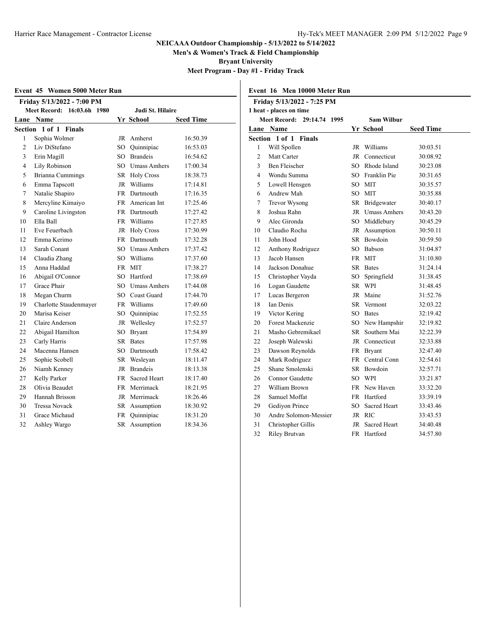**Men's & Women's Track & Field Championship**

**Bryant University**

**Meet Program - Day #1 - Friday Track**

| Event 45 Women 5000 Meter Run |  |  |  |
|-------------------------------|--|--|--|
|-------------------------------|--|--|--|

|                | Friday 5/13/2022 - 7:00 PM              |                  |                     |                  |  |
|----------------|-----------------------------------------|------------------|---------------------|------------------|--|
|                | <b>Meet Record:</b><br>16:03.6h<br>1980 | Judi St. Hilaire |                     |                  |  |
| Lane           | <b>Name</b>                             |                  | Yr School           | <b>Seed Time</b> |  |
|                | Section 1 of 1 Finals                   |                  |                     |                  |  |
| 1              | Sophia Wolmer                           | JR               | Amherst             | 16:50.39         |  |
| $\mathfrak{2}$ | Liv DiStefano                           | SO               | Ouinnipiac          | 16:53.03         |  |
| 3              | Erin Magill                             | SO               | <b>Brandeis</b>     | 16:54.62         |  |
| 4              | Lily Robinson                           | SO               | <b>Umass Amhers</b> | 17:00.34         |  |
| 5              | <b>Brianna Cummings</b>                 |                  | SR Holy Cross       | 18:38.73         |  |
| 6              | Emma Tapscott                           |                  | JR Williams         | 17:14.81         |  |
| 7              | Natalie Shapiro                         |                  | FR Dartmouth        | 17:16.35         |  |
| 8              | Mercyline Kimaiyo                       |                  | FR American Int     | 17:25.46         |  |
| 9              | Caroline Livingston                     |                  | FR Dartmouth        | 17:27.42         |  |
| 10             | Ella Ball                               |                  | FR Williams         | 17:27.85         |  |
| 11             | Eve Feuerbach                           |                  | JR Holy Cross       | 17:30.99         |  |
| 12             | Emma Kerimo                             |                  | FR Dartmouth        | 17:32.28         |  |
| 13             | Sarah Conant                            |                  | SO Umass Amhers     | 17:37.42         |  |
| 14             | Claudia Zhang                           | SO <sub>1</sub>  | Williams            | 17:37.60         |  |
| 15             | Anna Haddad                             |                  | FR MIT              | 17:38.27         |  |
| 16             | Abigail O'Connor                        | SO               | Hartford            | 17:38.69         |  |
| 17             | Grace Phair                             | SO               | <b>Umass Amhers</b> | 17:44.08         |  |
| 18             | Megan Churm                             |                  | SO Coast Guard      | 17:44.70         |  |
| 19             | Charlotte Staudenmayer                  |                  | FR Williams         | 17:49.60         |  |
| 20             | Marisa Keiser                           | SO -             | Ouinnipiac          | 17:52.55         |  |
| 21             | Claire Anderson                         | JR               | Wellesley           | 17:52.57         |  |
| 22             | Abigail Hamilton                        | SO.              | <b>Bryant</b>       | 17:54.89         |  |
| 23             | Carly Harris                            | SR -             | <b>Bates</b>        | 17:57.98         |  |
| 24             | Macenna Hansen                          |                  | SO Dartmouth        | 17:58.42         |  |
| 25             | Sophie Scobell                          | SR               | Wesleyan            | 18:11.47         |  |
| 26             | Niamh Kenney                            | JR               | <b>Brandeis</b>     | 18:13.38         |  |
| 27             | Kelly Parker                            | <b>FR</b>        | Sacred Heart        | 18:17.40         |  |
| 28             | Olivia Beaudet                          | FR               | Merrimack           | 18:21.95         |  |
| 29             | Hannah Brisson                          |                  | JR Merrimack        | 18:26.46         |  |
| 30             | <b>Tressa Novack</b>                    | SR               | Assumption          | 18:30.92         |  |
| 31             | Grace Michaud                           | FR               | Quinnipiac          | 18:31.20         |  |
| 32             | Ashley Wargo                            | SR               | Assumption          | 18:34.36         |  |

| Friday 5/13/2022 - 7:25 PM |                                      |      |                 |                  |
|----------------------------|--------------------------------------|------|-----------------|------------------|
|                            | 1 heat - places on time              |      |                 |                  |
|                            | <b>Meet Record:</b><br>29:14.74 1995 |      | Sam Wilbur      |                  |
|                            | Lane Name                            |      | Yr School       | <b>Seed Time</b> |
|                            | Section 1 of 1<br><b>Finals</b>      |      |                 |                  |
| 1                          | Will Spollen                         |      | JR Williams     | 30:03.51         |
| $\overline{c}$             | Matt Carter                          | JR   | Connecticut     | 30:08.92         |
| 3                          | Ben Fleischer                        |      | SO Rhode Island | 30:23.08         |
| 4                          | Wondu Summa                          |      | SO Franklin Pie | 30:31.65         |
| 5                          | Lowell Hensgen                       |      | SO MIT          | 30:35.57         |
| 6                          | Andrew Mah                           |      | SO MIT          | 30:35.88         |
| 7                          | <b>Trevor Wysong</b>                 |      | SR Bridgewater  | 30:40.17         |
| 8                          | Joshua Rahn                          |      | JR Umass Amhers | 30:43.20         |
| 9                          | Alec Gironda                         |      | SO Middlebury   | 30:45.29         |
| 10                         | Claudio Rocha                        |      | JR Assumption   | 30:50.11         |
| 11                         | John Hood                            |      | SR Bowdoin      | 30:59.50         |
| 12                         | Anthony Rodriguez                    |      | SO Babson       | 31:04.87         |
| 13                         | Jacob Hansen                         |      | FR MIT          | 31:10.80         |
| 14                         | Jackson Donahue                      | SR   | <b>Bates</b>    | 31:24.14         |
| 15                         | Christopher Vayda                    | SO   | Springfield     | 31:38.45         |
| 16                         | Logan Gaudette                       |      | SR WPI          | 31:48.45         |
| 17                         | Lucas Bergeron                       |      | JR Maine        | 31:52.76         |
| 18                         | Ian Denis                            | SR.  | Vermont         | 32:03.22         |
| 19                         | Victor Kering                        | SO - | <b>Bates</b>    | 32:19.42         |
| 20                         | Forest Mackenzie                     |      | SO New Hampshir | 32:19.82         |
| 21                         | Masho Gebremikael                    | SR – | Southern Mai    | 32:22.39         |
| 22                         | Joseph Walewski                      |      | JR Connecticut  | 32:33.88         |
| 23                         | Dawson Reynolds                      |      | FR Bryant       | 32:47.40         |
| 24                         | Mark Rodriguez                       |      | FR Central Conn | 32:54.61         |
| 25                         | Shane Smolenski                      |      | SR Bowdoin      | 32:57.71         |
| 26                         | Connor Gaudette                      |      | SO WPI          | 33:21.87         |
| 27                         | William Brown                        |      | FR New Haven    | 33:32.20         |
| 28                         | Samuel Moffat                        |      | FR Hartford     | 33:39.19         |
| 29                         | Gediyon Prince                       | SO.  | Sacred Heart    | 33:43.46         |
| 30                         | Andre Solomon-Messier                |      | JR RIC          | 33:43.53         |
| 31                         | Christopher Gillis                   | JR   | Sacred Heart    | 34:40.48         |
| 32                         | <b>Riley Brutvan</b>                 |      | FR Hartford     | 34:57.80         |

# **Event 16 Men 10000 Meter Run**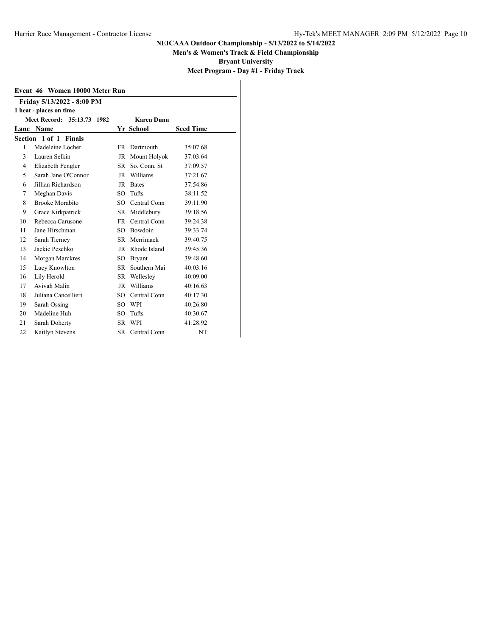**Men's & Women's Track & Field Championship**

**Bryant University**

**Meet Program - Day #1 - Friday Track**

| Event 46 Women 10000 Meter Run                  |                            |      |                 |                  |  |  |  |  |  |
|-------------------------------------------------|----------------------------|------|-----------------|------------------|--|--|--|--|--|
|                                                 | Friday 5/13/2022 - 8:00 PM |      |                 |                  |  |  |  |  |  |
| 1 heat - places on time                         |                            |      |                 |                  |  |  |  |  |  |
| Meet Record: 35:13.73 1982<br><b>Karen Dunn</b> |                            |      |                 |                  |  |  |  |  |  |
| Lane                                            | Name                       |      | Yr School       | <b>Seed Time</b> |  |  |  |  |  |
|                                                 | Section 1 of 1 Finals      |      |                 |                  |  |  |  |  |  |
| 1                                               | Madeleine Locher           | FR - | Dartmouth       | 35:07.68         |  |  |  |  |  |
| 3                                               | Lauren Selkin              |      | JR Mount Holyok | 37:03.64         |  |  |  |  |  |
| 4                                               | Elizabeth Fengler          | SR   | So. Conn. St    | 37:09.57         |  |  |  |  |  |
| 5                                               | Sarah Jane O'Connor        | JR   | Williams        | 37:21.67         |  |  |  |  |  |
| 6                                               | Jillian Richardson         | JR   | <b>Bates</b>    | 37:54.86         |  |  |  |  |  |
| 7                                               | Meghan Davis               | SO.  | Tufts           | 38:11.52         |  |  |  |  |  |
| 8                                               | <b>Brooke Morabito</b>     | SO.  | Central Conn    | 39:11.90         |  |  |  |  |  |
| 9                                               | Grace Kirkpatrick          | SR   | Middlebury      | 39:18.56         |  |  |  |  |  |
| 10                                              | Rebecca Carusone           | FR - | Central Conn    | 39:24.38         |  |  |  |  |  |
| 11                                              | Jane Hirschman             | SO.  | <b>Bowdoin</b>  | 39:33.74         |  |  |  |  |  |
| 12                                              | Sarah Tierney              | SR.  | Merrimack       | 39:40.75         |  |  |  |  |  |
| 13                                              | Jackie Peschko             | JR   | Rhode Island    | 39:45.36         |  |  |  |  |  |
| 14                                              | Morgan Marckres            | SO   | <b>Bryant</b>   | 39:48.60         |  |  |  |  |  |
| 15                                              | Lucy Knowlton              | SR.  | Southern Mai    | 40:03.16         |  |  |  |  |  |
| 16                                              | Lily Herold                | SR   | Wellesley       | 40:09.00         |  |  |  |  |  |
| 17                                              | Avivah Malin               | JR.  | Williams        | 40:16.63         |  |  |  |  |  |
| 18                                              | Juliana Cancellieri        | SO.  | Central Conn    | 40:17.30         |  |  |  |  |  |
| 19                                              | Sarah Ossing               | SO   | WPI             | 40:26.80         |  |  |  |  |  |
| 20                                              | Madeline Huh               | SO   | Tufts           | 40:30.67         |  |  |  |  |  |
| 21                                              | Sarah Doherty              | SR – | <b>WPI</b>      | 41:28.92         |  |  |  |  |  |
| 22                                              | Kaitlyn Stevens            | SR.  | Central Conn    | <b>NT</b>        |  |  |  |  |  |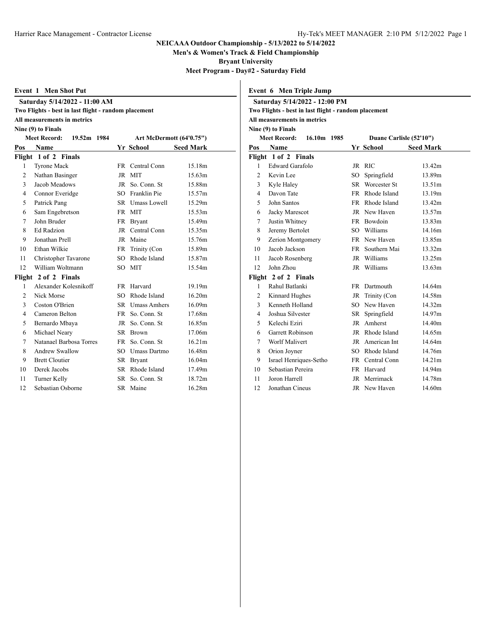**Men's & Women's Track & Field Championship**

**Bryant University**

**Meet Program - Day#2 - Saturday Field**

**Event 6 Men Triple Jump**

| Event 1 Men Shot Put |  |
|----------------------|--|
|----------------------|--|

**Saturday 5/14/2022 - 11:00 AM**

| Two Flights - best in last flight - random placement |  |  |  |  |
|------------------------------------------------------|--|--|--|--|
|------------------------------------------------------|--|--|--|--|

# **All measurements in metrics**

**Nine (9) to Finals**

|                | Art McDermott (64'0.75")<br><b>Meet Record:</b><br>19.52m 1984 |                 |                 |                  |
|----------------|----------------------------------------------------------------|-----------------|-----------------|------------------|
| Pos            | Name                                                           |                 | Yr School       | <b>Seed Mark</b> |
|                | Flight 1 of 2 Finals                                           |                 |                 |                  |
| 1              | <b>Tyrone Mack</b>                                             |                 | FR Central Conn | 15.18m           |
| $\overline{2}$ | Nathan Basinger                                                | JR              | <b>MIT</b>      | 15.63m           |
| 3              | Jacob Meadows                                                  | JR              | So. Conn. St    | 15.88m           |
| $\overline{4}$ | Connor Everidge                                                | $SO^-$          | Franklin Pie    | 15.57m           |
| 5              | Patrick Pang                                                   |                 | SR Umass Lowell | 15.29m           |
| 6              | Sam Engebretson                                                | <b>FR</b>       | <b>MIT</b>      | 15.53m           |
| 7              | John Bruder                                                    | FR              | <b>Bryant</b>   | 15.49m           |
| 8              | <b>Ed Radzion</b>                                              | JR              | Central Conn    | 15.35m           |
| 9              | Jonathan Prell                                                 | JR              | Maine           | 15.76m           |
| 10             | Ethan Wilkie                                                   | FR              | Trinity (Con    | 15.89m           |
| 11             | Christopher Tavarone                                           | SO.             | Rhode Island    | 15.87m           |
| 12             | William Woltmann                                               | SO              | <b>MIT</b>      | 15.54m           |
|                | Flight 2 of 2 Finals                                           |                 |                 |                  |
| 1              | Alexander Kolesnikoff                                          | FR.             | Harvard         | 19.19m           |
| $\overline{2}$ | Nick Morse                                                     | SO <sub>2</sub> | Rhode Island    | 16.20m           |
| 3              | Coston O'Brien                                                 |                 | SR Umass Amhers | 16.09m           |
| $\overline{4}$ | Cameron Belton                                                 | <b>FR</b>       | So. Conn. St    | 17.68m           |
| 5              | Bernardo Mbaya                                                 | JR              | So. Conn. St    | 16.85m           |
| 6              | Michael Neary                                                  | SR              | Brown           | 17.06m           |
| $\tau$         | Natanael Barbosa Torres                                        | FR              | So. Conn. St    | 16.21m           |
| 8              | <b>Andrew Swallow</b>                                          | SO.             | Umass Dartmo    | 16.48m           |
| 9              | <b>Brett Cloutier</b>                                          | SR              | <b>Bryant</b>   | 16.04m           |
| 10             | Derek Jacobs                                                   | SR.             | Rhode Island    | 17.49m           |
| 11             | Turner Kelly                                                   | SR              | So. Conn. St    | 18.72m           |
| 12             | Sebastian Osborne                                              | SR              | Maine           | 16.28m           |

| Saturday 5/14/2022 - 12:00 PM |                                                      |  |        |                         |                  |  |
|-------------------------------|------------------------------------------------------|--|--------|-------------------------|------------------|--|
|                               | Two Flights - best in last flight - random placement |  |        |                         |                  |  |
|                               | All measurements in metrics                          |  |        |                         |                  |  |
|                               | Nine (9) to Finals                                   |  |        |                         |                  |  |
|                               | 16.10m 1985<br><b>Meet Record:</b>                   |  |        | Duane Carlisle (52'10") |                  |  |
| Pos                           | <b>Name</b>                                          |  |        | <b>Yr School</b>        | <b>Seed Mark</b> |  |
|                               | Flight 1 of 2 Finals                                 |  |        |                         |                  |  |
| 1                             | Edward Garafolo                                      |  |        | JR RIC                  | 13.42m           |  |
| $\overline{2}$                | Kevin Lee                                            |  | $SO^-$ | Springfield             | 13.89m           |  |
| 3                             | Kyle Haley                                           |  |        | SR Worcester St         | 13.51m           |  |
| $\overline{4}$                | Davon Tate                                           |  |        | FR Rhode Island         | 13.19m           |  |
| 5                             | John Santos                                          |  | FR -   | Rhode Island            | 13.42m           |  |
| 6                             | Jacky Marescot                                       |  |        | JR New Haven            | 13.57m           |  |
| 7                             | Justin Whitney                                       |  |        | FR Bowdoin              | 13.83m           |  |
| 8                             | Jeremy Bertolet                                      |  |        | SO Williams             | 14.16m           |  |
| 9                             | Zerion Montgomery                                    |  |        | FR New Haven            | 13.85m           |  |
| 10                            | Jacob Jackson                                        |  | FR -   | Southern Mai            | 13.32m           |  |
| 11                            | Jacob Rosenberg                                      |  |        | JR Williams             | 13.25m           |  |
| 12                            | John Zhou                                            |  |        | JR Williams             | 13.63m           |  |
|                               | Flight 2 of 2 Finals                                 |  |        |                         |                  |  |
| 1                             | Rahul Batlanki                                       |  |        | FR Dartmouth            | 14.64m           |  |
| 2                             | Kinnard Hughes                                       |  |        | JR Trinity (Con         | 14.58m           |  |
| 3                             | Kenneth Holland                                      |  |        | SO New Haven            | 14.32m           |  |
| $\overline{4}$                | Joshua Silvester                                     |  |        | SR Springfield          | 14.97m           |  |
| 5                             | Kelechi Eziri                                        |  |        | JR Amherst              | 14.40m           |  |
| 6                             | <b>Garrett Robinson</b>                              |  |        | JR Rhode Island         | 14.65m           |  |
| 7                             | Worlf Malivert                                       |  |        | JR American Int         | 14.64m           |  |
| 8                             | Orion Joyner                                         |  |        | SO Rhode Island         | 14.76m           |  |
| 9                             | Israel Henriques-Setho                               |  |        | FR Central Conn         | 14.21m           |  |
| 10                            | Sebastian Pereira                                    |  |        | FR Harvard              | 14.94m           |  |
| 11                            | Joron Harrell                                        |  |        | JR Merrimack            | 14.78m           |  |
| 12                            | Jonathan Cineus                                      |  |        | JR New Haven            | 14.60m           |  |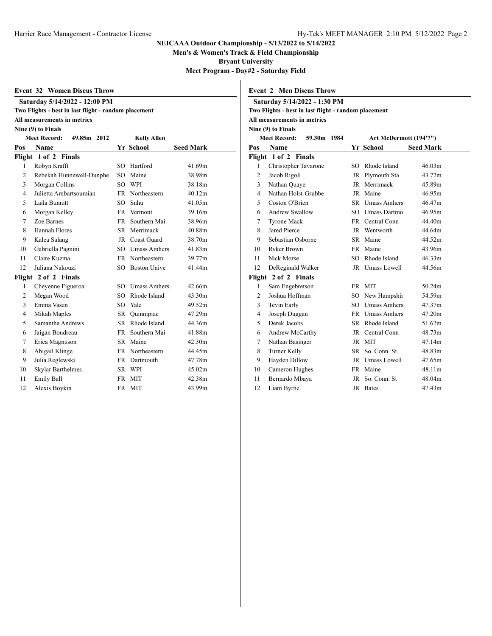**Men's & Women's Track & Field Championship**

**Bryant University**

**Meet Program - Day#2 - Saturday Field**

|  | <b>Event 32 Women Discus Throw</b> |
|--|------------------------------------|
|--|------------------------------------|

# **Saturday 5/14/2022 - 12:00 PM Two Flights - best in last flight - random placement**

**All measurements in metrics**

# **Nine (9) to Finals**

|                | <b>Meet Record:</b><br>49.85m 2012 |                 | <b>Kelly Allen</b>  |                  |
|----------------|------------------------------------|-----------------|---------------------|------------------|
| Pos            | Name                               |                 | Yr School           | <b>Seed Mark</b> |
|                | Flight 1 of 2 Finals               |                 |                     |                  |
| 1              | Robyn Krafft                       | SO              | Hartford            | 41.69m           |
| $\overline{c}$ | Rebekah Hunnewell-Dunphe           | SO <sub>1</sub> | Maine               | 38.98m           |
| 3              | Morgan Collins                     | SO.             | <b>WPI</b>          | 38.18m           |
| $\overline{4}$ | Julietta Ambartsoumian             |                 | FR Northeastern     | 40.12m           |
| 5              | Laila Bunnitt                      | SO              | Snhu                | 41.05m           |
| 6              | Morgan Kelley                      | FR              | Vermont             | 39.16m           |
| $\tau$         | Zoe Barnes                         | <b>FR</b>       | Southern Mai        | 38.96m           |
| 8              | Hannah Flores                      | SR.             | Merrimack           | 40.88m           |
| 9              | Kalea Salang                       | JR              | <b>Coast Guard</b>  | 38.70m           |
| 10             | Gabriella Pagnini                  | SO.             | <b>Umass Amhers</b> | 41.83m           |
| 11             | Claire Kuzma                       |                 | FR Northeastern     | 39.77m           |
| 12             | Juliana Nakouzi                    |                 | SO Boston Unive     | 41.44m           |
|                | Flight 2 of 2 Finals               |                 |                     |                  |
| 1              | Cheyenne Figueroa                  | SO.             | <b>Umass Amhers</b> | 42.66m           |
| 2              | Megan Wood                         |                 | SO Rhode Island     | 43.30m           |
| 3              | Emma Vasen                         | SO              | Yale                | 49.52m           |
| $\overline{4}$ | Mikah Maples                       | SR              | Quinnipiac          | 47.29m           |
| 5              | Samantha Andrews                   | SR –            | Rhode Island        | 44.36m           |
| 6              | Jaigan Boudreau                    | <b>FR</b>       | Southern Mai        | 41.88m           |
| 7              | Erica Magnuson                     | SR              | Maine               | 42.30m           |
| 8              | Abigail Klinge                     |                 | FR Northeastern     | 44.45m           |
| 9              | Julia Reglewski                    | FR              | Dartmouth           | 47.78m           |
| 10             | <b>Skylar Barthelmes</b>           | SR –            | WPI                 | 45.02m           |
| 11             | <b>Emily Ball</b>                  |                 | FR MIT              | 42.38m           |
| 12             | Alexis Boykin                      | <b>FR</b>       | <b>MIT</b>          | 43.99m           |

|                | <b>Event 2 Men Discus Throw</b>                      |     |                        |                  |  |
|----------------|------------------------------------------------------|-----|------------------------|------------------|--|
|                | Saturday 5/14/2022 - 1:30 PM                         |     |                        |                  |  |
|                | Two Flights - best in last flight - random placement |     |                        |                  |  |
|                | All measurements in metrics                          |     |                        |                  |  |
|                | Nine (9) to Finals                                   |     |                        |                  |  |
|                | <b>Meet Record:</b><br>59.30m 1984                   |     | Art McDermott (194'7") |                  |  |
| Pos            | Name                                                 |     | <b>Yr School</b>       | <b>Seed Mark</b> |  |
|                | Flight 1 of 2 Finals                                 |     |                        |                  |  |
| 1              | Christopher Tavarone                                 |     | SO Rhode Island        | 46.03m           |  |
| $\overline{c}$ | Jacob Rigoli                                         |     | JR Plymouth Sta        | 43.72m           |  |
| 3              | Nathan Quaye                                         |     | JR Merrimack           | 45.89m           |  |
| 4              | Nathan Holst-Grubbe                                  |     | JR Maine               | 46.95m           |  |
| 5              | Coston O'Brien                                       |     | <b>SR</b> Umass Amhers | 46.47m           |  |
| 6              | <b>Andrew Swallow</b>                                |     | SO Umass Dartmo        | 46.95m           |  |
| 7              | <b>Tyrone Mack</b>                                   |     | FR Central Conn        | 44.40m           |  |
| 8              | Jared Pierce                                         |     | JR Wentworth           | 44.64m           |  |
| 9              | Sebastian Osborne                                    |     | SR Maine               | 44.52m           |  |
| 10             | Ryker Brown                                          |     | FR Maine               | 43.96m           |  |
| 11             | Nick Morse                                           | SO. | Rhode Island           | 46.33m           |  |
| 12             | DeReginald Walker                                    |     | JR Umass Lowell        | 44.56m           |  |
|                | Flight 2 of 2 Finals                                 |     |                        |                  |  |
| 1              | Sam Engebretson                                      |     | FR MIT                 | 50.24m           |  |
| 2              | Joshua Hoffman                                       |     | SO New Hampshir        | 54.59m           |  |
| 3              | Tevin Early                                          |     | SO Umass Amhers        | 47.37m           |  |
| 4              | Joseph Duggan                                        |     | FR Umass Amhers        | 47.20m           |  |
| 5              | Derek Jacobs                                         |     | SR Rhode Island        | 51.62m           |  |
| 6              | Andrew McCarthy                                      |     | JR Central Conn        | 48.73m           |  |
| 7              | Nathan Basinger                                      |     | JR MIT                 | 47.14m           |  |
| 8              | Turner Kelly                                         |     | SR So. Conn. St        | 48.83m           |  |
| 9              | Hayden Dillow                                        |     | JR Umass Lowell        | 47.65m           |  |
| 10             | Cameron Hughes                                       |     | FR Maine               | 48.11m           |  |
| 11             | Bernardo Mbaya                                       |     | JR So. Conn. St        | 48.04m           |  |
| 12             | Liam Byrne                                           |     | JR Bates               | 47.43m           |  |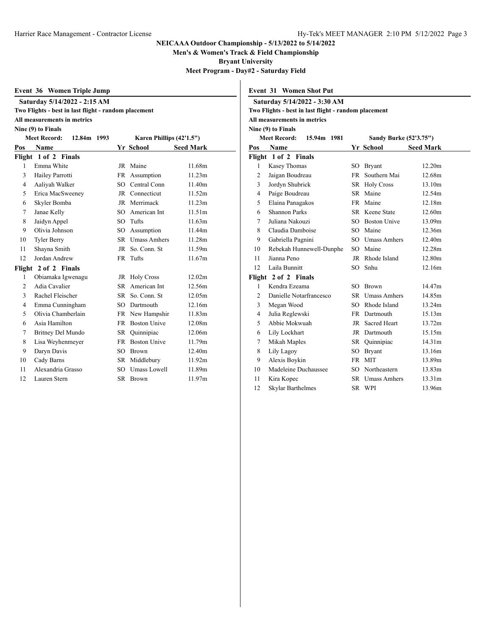**Men's & Women's Track & Field Championship**

**Bryant University**

**Meet Program - Day#2 - Saturday Field**

**Event 31 Women Shot Put**

|  |  |  | Event 36 Women Triple Jump |  |
|--|--|--|----------------------------|--|
|--|--|--|----------------------------|--|

| Saturday 5/14/2022 - 2:15 AM                         |  |
|------------------------------------------------------|--|
| Two Flights - best in last flight - random placement |  |

### **All measurements in metrics**

**Nine (9) to Finals**

|                | <b>Meet Record:</b><br>12.84m 1993 | Karen Phillips (42'1.5") |                     |                  |
|----------------|------------------------------------|--------------------------|---------------------|------------------|
| Pos            | Name                               |                          | Yr School           | <b>Seed Mark</b> |
|                | Flight 1 of 2 Finals               |                          |                     |                  |
| 1              | Emma White                         |                          | JR Maine            | 11.68m           |
| 3              | Hailey Parrotti                    | FR                       | Assumption          | 11.23m           |
| 4              | Aaliyah Walker                     |                          | SO Central Conn     | 11.40m           |
| 5              | Erica MacSweeney                   |                          | JR Connecticut      | 11.52m           |
| 6              | Skyler Bomba                       | JR                       | Merrimack           | 11.23m           |
| 7              | Janae Kelly                        | SO                       | American Int        | 11.51m           |
| 8              | Jaidyn Appel                       | SO                       | Tufts               | 11.63m           |
| 9              | Olivia Johnson                     | SO.                      | Assumption          | 11.44m           |
| 10             | <b>Tyler Berry</b>                 | SR.                      | <b>Umass Amhers</b> | 11.28m           |
| 11             | Shayna Smith                       | JR                       | So. Conn. St        | 11.59m           |
| 12             | Jordan Andrew                      | FR                       | Tufts               | 11.67m           |
|                | Flight 2 of 2 Finals               |                          |                     |                  |
| 1              | Obiamaka Igwenagu                  |                          | JR Holy Cross       | 12.02m           |
| $\overline{c}$ | Adia Cavalier                      | SR.                      | American Int        | 12.56m           |
| 3              | Rachel Fleischer                   |                          | SR So. Conn. St     | 12.05m           |
| $\overline{4}$ | Emma Cunningham                    | SO                       | Dartmouth           | 12.16m           |
| 5              | Olivia Chamberlain                 |                          | FR New Hampshir     | 11.83m           |
| 6              | Asia Hamilton                      | <b>FR</b>                | <b>Boston Unive</b> | 12.08m           |
| 7              | Britney Del Mundo                  | SR                       | Quinnipiac          | 12.06m           |
| 8              | Lisa Weyhenmeyer                   | <b>FR</b>                | <b>Boston Unive</b> | 11.79m           |
| 9              | Daryn Davis                        | SO                       | <b>Brown</b>        | 12.40m           |
| 10             | Cady Barns                         | SR                       | Middlebury          | 11.92m           |
| 11             | Alexandria Grasso                  | SO.                      | Umass Lowell        | 11.89m           |
| 12             | Lauren Stern                       | SR.                      | <b>Brown</b>        | 11.97m           |

| Saturday 5/14/2022 - 3:30 AM |                                                      |           |                        |                  |  |
|------------------------------|------------------------------------------------------|-----------|------------------------|------------------|--|
|                              | Two Flights - best in last flight - random placement |           |                        |                  |  |
|                              | All measurements in metrics                          |           |                        |                  |  |
|                              | Nine (9) to Finals                                   |           |                        |                  |  |
|                              | <b>Meet Record:</b><br>15.94m 1981                   |           | Sandy Burke (52'3.75") |                  |  |
| Pos                          | <b>Name</b>                                          |           | Yr School              | <b>Seed Mark</b> |  |
|                              | Flight 1 of 2 Finals                                 |           |                        |                  |  |
| 1                            | Kasey Thomas                                         |           | SO Bryant              | 12.20m           |  |
| $\overline{c}$               | Jaigan Boudreau                                      | FR        | Southern Mai           | 12.68m           |  |
| 3                            | Jordyn Shubrick                                      |           | SR Holy Cross          | 13.10m           |  |
| $\overline{4}$               | Paige Boudreau                                       |           | SR Maine               | 12.54m           |  |
| 5                            | Elaina Panagakos                                     | FR -      | Maine                  | 12.18m           |  |
| 6                            | <b>Shannon Parks</b>                                 |           | <b>SR</b> Keene State  | 12.60m           |  |
| 7                            | Juliana Nakouzi                                      |           | SO Boston Unive        | 13.09m           |  |
| 8                            | Claudia Damboise                                     |           | SO Maine               | 12.36m           |  |
| 9                            | Gabriella Pagnini                                    |           | SO Umass Amhers        | 12.40m           |  |
| 10                           | Rebekah Hunnewell-Dunphe                             |           | SO Maine               | 12.28m           |  |
| 11                           | Jianna Peno                                          |           | JR Rhode Island        | 12.80m           |  |
| 12                           | Laila Bunnitt                                        |           | SO Snhu                | 12.16m           |  |
|                              | Flight 2 of 2 Finals                                 |           |                        |                  |  |
| 1                            | Kendra Ezeama                                        |           | SO Brown               | 14.47m           |  |
| $\overline{2}$               | Danielle Notarfrancesco                              |           | SR Umass Amhers        | 14.85m           |  |
| 3                            | Megan Wood                                           |           | SO Rhode Island        | 13.24m           |  |
| $\overline{4}$               | Julia Reglewski                                      |           | FR Dartmouth           | 15.13m           |  |
| 5                            | Abbie Mokwuah                                        |           | JR Sacred Heart        | 13.72m           |  |
| 6                            | Lily Lockhart                                        |           | JR Dartmouth           | 15.15m           |  |
| 7                            | Mikah Maples                                         |           | SR Quinnipiac          | 14.31m           |  |
| 8                            | Lily Lagoy                                           |           | SO Bryant              | 13.16m           |  |
| 9                            | Alexis Boykin                                        | <b>FR</b> | <b>MIT</b>             | 13.89m           |  |
| 10                           | Madeleine Duchaussee                                 |           | SO Northeastern        | 13.83m           |  |
| 11                           | Kira Kopec                                           |           | SR Umass Amhers        | 13.31m           |  |
| 12                           | Skylar Barthelmes                                    |           | SR WPI                 | 13.96m           |  |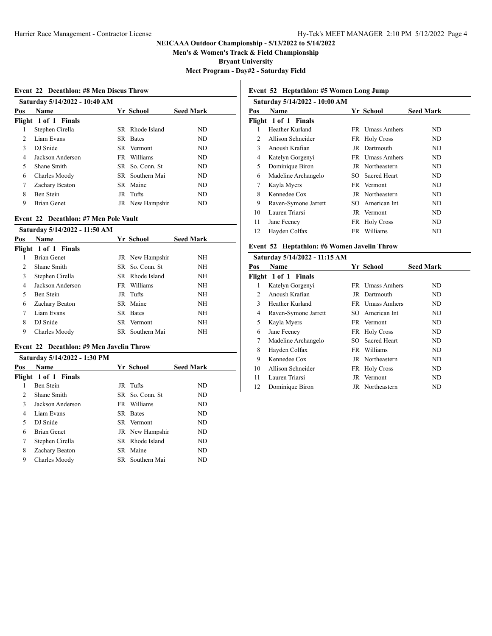**Men's & Women's Track & Field Championship**

**Bryant University**

**Meet Program - Day#2 - Saturday Field**

#### **Event 22 Decathlon: #8 Men Discus Throw**

|               | Saturday 5/14/2022 - 10:40 AM |                  |                  |
|---------------|-------------------------------|------------------|------------------|
| Pos           | <b>Name</b>                   | Yr School        | <b>Seed Mark</b> |
|               | Flight 1 of 1 Finals          |                  |                  |
| 1             | Stephen Cirella               | SR Rhode Island  | ND.              |
| $\mathcal{P}$ | Liam Evans                    | SR Bates         | ND.              |
| 3             | DJ Snide                      | SR Vermont       | ND.              |
| 4             | Jackson Anderson              | FR Williams      | ND               |
| 5             | Shane Smith                   | SR So. Conn. St. | ND               |
| 6             | Charles Moody                 | SR Southern Mai  | ND               |
| 7             | Zachary Beaton                | SR Maine         | ND               |
| 8             | Ben Stein                     | JR Tufts         | ND.              |
| 9             | <b>Brian Genet</b>            | JR New Hampshir  | ND               |

#### **Event 22 Decathlon: #7 Men Pole Vault**

| Saturday 5/14/2022 - 11:50 AM |  |                                                                                                                                                               |
|-------------------------------|--|---------------------------------------------------------------------------------------------------------------------------------------------------------------|
| <b>Name</b>                   |  | <b>Seed Mark</b>                                                                                                                                              |
| Flight 1 of 1 Finals          |  |                                                                                                                                                               |
| <b>Brian Genet</b>            |  | <b>NH</b>                                                                                                                                                     |
| Shane Smith                   |  | <b>NH</b>                                                                                                                                                     |
| Stephen Cirella               |  | <b>NH</b>                                                                                                                                                     |
| Jackson Anderson              |  | <b>NH</b>                                                                                                                                                     |
| Ben Stein                     |  | <b>NH</b>                                                                                                                                                     |
| Zachary Beaton                |  | NH                                                                                                                                                            |
| Liam Evans                    |  | <b>NH</b>                                                                                                                                                     |
| DJ Snide                      |  | NH                                                                                                                                                            |
| Charles Moody                 |  | <b>NH</b>                                                                                                                                                     |
|                               |  | Yr School<br>JR New Hampshir<br>SR So. Conn. St<br>SR Rhode Island<br>FR Williams<br>JR Tufts<br>SR Maine<br><b>SR</b> Bates<br>SR Vermont<br>SR Southern Mai |

## **Event 22 Decathlon: #9 Men Javelin Throw**

|     | Saturday 5/14/2022 - 1:30 PM |                  |                  |
|-----|------------------------------|------------------|------------------|
| Pos | <b>Name</b>                  | Yr School        | <b>Seed Mark</b> |
|     | Flight 1 of 1 Finals         |                  |                  |
|     | Ben Stein                    | JR Tufts         | ND               |
| 2   | Shane Smith                  | SR So. Conn. St. | ND               |
| 3   | Jackson Anderson             | FR Williams      | ND               |
| 4   | Liam Evans                   | SR Bates         | ND.              |
| 5   | DJ Snide                     | SR Vermont       | ND.              |
| 6   | Brian Genet                  | JR New Hampshir  | ND.              |
| 7   | Stephen Cirella              | SR Rhode Island  | ND               |
| 8   | Zachary Beaton               | SR Maine         | ND.              |
| 9   | Charles Moody                | SR Southern Mai  | ND               |
|     |                              |                  |                  |

# **Event 52 Heptathlon: #5 Women Long Jump**

|     | Saturday 5/14/2022 - 10:00 AM |      |                 |                  |
|-----|-------------------------------|------|-----------------|------------------|
| Pos | <b>Name</b>                   |      | Yr School       | <b>Seed Mark</b> |
|     | Flight 1 of 1 Finals          |      |                 |                  |
|     | Heather Kurland               |      | FR Umass Amhers | ND               |
| 2   | Allison Schneider             |      | FR Holy Cross   | ND               |
| 3   | Anoush Krafian                |      | JR Dartmouth    | ND               |
| 4   | Katelyn Gorgenyi              |      | FR Umass Amhers | ND               |
| 5   | Dominique Biron               |      | JR Northeastern | ND               |
| 6   | Madeline Archangelo           |      | SO Sacred Heart | ND               |
| 7   | Kayla Myers                   |      | FR Vermont      | ND               |
| 8   | Kennedee Cox                  |      | JR Northeastern | ND               |
| 9   | Raven-Symone Jarrett          |      | SO American Int | ND               |
| 10  | Lauren Triarsi                |      | JR Vermont      | ND               |
| 11  | Jane Feeney                   |      | FR Holy Cross   | ND               |
| 12  | Hayden Colfax                 | FR - | Williams        | ND               |

### **Event 52 Heptathlon: #6 Women Javelin Throw**

| Saturday 5/14/2022 - 11:15 AM |                      |      |                     |                  |
|-------------------------------|----------------------|------|---------------------|------------------|
| Pos                           | Name                 |      | Yr School           | <b>Seed Mark</b> |
|                               | Flight 1 of 1 Finals |      |                     |                  |
| 1                             | Katelyn Gorgenyi     |      | FR Umass Amhers     | ND.              |
| 2                             | Anoush Krafian       |      | JR Dartmouth        | ND.              |
| 3                             | Heather Kurland      |      | FR Umass Amhers     | ND               |
| 4                             | Raven-Symone Jarrett |      | SO American Int     | ND.              |
| 5                             | Kayla Myers          |      | FR Vermont          | ND               |
| 6                             | Jane Feeney          |      | FR Holy Cross       | ND               |
| 7                             | Madeline Archangelo  | SO.  | <b>Sacred Heart</b> | ND.              |
| 8                             | Hayden Colfax        | FR - | Williams            | ND               |
| 9                             | Kennedee Cox         |      | JR Northeastern     | ND               |
| 10                            | Allison Schneider    |      | FR Holy Cross       | ND               |
| 11                            | Lauren Triarsi       |      | JR Vermont          | ND               |
| 12                            | Dominique Biron      |      | JR Northeastern     | ND               |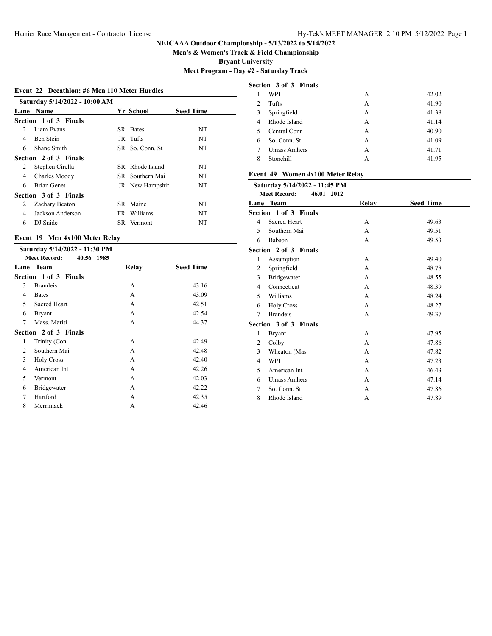**Men's & Women's Track & Field Championship**

**Bryant University**

**Meet Program - Day #2 - Saturday Track**

#### **Event 22 Decathlon: #6 Men 110 Meter Hurdles**

|                               | Saturday 5/14/2022 - 10:00 AM |      |                  |                  |
|-------------------------------|-------------------------------|------|------------------|------------------|
| Lane                          | <b>Name</b>                   |      | <b>Yr School</b> | <b>Seed Time</b> |
|                               | Section 1 of 3 Finals         |      |                  |                  |
| $\mathfrak{D}_{\mathfrak{p}}$ | Liam Evans                    | SR.  | <b>Bates</b>     | NT               |
| 4                             | Ben Stein                     |      | JR Tufts         | NT               |
| 6                             | Shane Smith                   |      | SR So. Conn. St. | NT               |
|                               | Section 2 of 3 Finals         |      |                  |                  |
| 2                             | Stephen Cirella               |      | SR Rhode Island  | NT               |
| 4                             | Charles Moody                 |      | SR Southern Mai  | NT               |
| 6                             | <b>Brian Genet</b>            |      | JR New Hampshir  | NT               |
|                               | Section 3 of 3 Finals         |      |                  |                  |
| 2                             | Zachary Beaton                |      | SR Maine         | NT               |
| 4                             | Jackson Anderson              |      | FR Williams      | NT               |
| 6                             | DJ Snide                      | SR – | Vermont          | NT               |
|                               |                               |      |                  |                  |

# **Event 19 Men 4x100 Meter Relay**

|   | Saturday 5/14/2022 - 11:30 PM     |       |                  |  |  |
|---|-----------------------------------|-------|------------------|--|--|
|   | <b>Meet Record:</b><br>40.56 1985 |       |                  |  |  |
|   | Lane Team                         | Relay | <b>Seed Time</b> |  |  |
|   | Section 1 of 3 Finals             |       |                  |  |  |
| 3 | <b>Brandeis</b>                   | A     | 43.16            |  |  |
| 4 | <b>Bates</b>                      | A     | 43.09            |  |  |
| 5 | Sacred Heart                      | A     | 42.51            |  |  |
| 6 | <b>Bryant</b>                     | A     | 42.54            |  |  |
| 7 | Mass. Mariti                      | A     | 44.37            |  |  |
|   | Section 2 of 3 Finals             |       |                  |  |  |
| 1 | Trinity (Con                      | A     | 42.49            |  |  |
| 2 | Southern Mai                      | A     | 42.48            |  |  |
| 3 | <b>Holy Cross</b>                 | A     | 42.40            |  |  |
| 4 | American Int                      | A     | 42.26            |  |  |
| 5 | Vermont                           | A     | 42.03            |  |  |
| 6 | Bridgewater                       | A     | 42.22            |  |  |
| 7 | Hartford                          | A     | 42.35            |  |  |
| 8 | Merrimack                         | A     | 42.46            |  |  |
|   |                                   |       |                  |  |  |

|                | Section 3 of 3 Finals |   |       |
|----------------|-----------------------|---|-------|
| 1              | WPI                   | A | 42.02 |
| $\overline{c}$ | Tufts                 | А | 41.90 |
| 3              | Springfield           | A | 41.38 |
| 4              | Rhode Island          | A | 41.14 |
| 5              | Central Conn          | A | 40.90 |
| 6              | So. Conn. St.         | A | 41.09 |
| 7              | <b>Umass Amhers</b>   | A | 41.71 |
| 8              | Stonehill             | А | 41.95 |

### **Event 49 Women 4x100 Meter Relay**

### **Saturday 5/14/2022 - 11:45 PM**

|                | <b>Meet Record:</b><br>46.01 2012 |       |                  |  |  |  |  |
|----------------|-----------------------------------|-------|------------------|--|--|--|--|
|                | Lane Team                         | Relay | <b>Seed Time</b> |  |  |  |  |
|                | Section 1 of 3 Finals             |       |                  |  |  |  |  |
| $\overline{4}$ | Sacred Heart                      | A     | 49.63            |  |  |  |  |
| 5              | Southern Mai                      | A     | 49.51            |  |  |  |  |
| 6              | Babson                            | A     | 49.53            |  |  |  |  |
|                | Section 2 of 3 Finals             |       |                  |  |  |  |  |
| 1              | Assumption                        | A     | 49.40            |  |  |  |  |
| $\overline{2}$ | Springfield                       | A     | 48.78            |  |  |  |  |
| 3              | Bridgewater                       | A     | 48.55            |  |  |  |  |
| 4              | Connecticut                       | A     | 48.39            |  |  |  |  |
| 5              | Williams                          | A     | 48.24            |  |  |  |  |
| 6              | <b>Holy Cross</b>                 | A     | 48.27            |  |  |  |  |
| 7              | <b>Brandeis</b>                   | A     | 49.37            |  |  |  |  |
|                | Section 3 of 3 Finals             |       |                  |  |  |  |  |
| 1              | <b>Bryant</b>                     | A     | 47.95            |  |  |  |  |
| $\overline{2}$ | Colby                             | A     | 47.86            |  |  |  |  |
| 3              | Wheaton (Mas                      | A     | 47.82            |  |  |  |  |
| 4              | WPI                               | A     | 47.23            |  |  |  |  |
| 5              | American Int                      | A     | 46.43            |  |  |  |  |
| 6              | <b>Umass Amhers</b>               | A     | 47.14            |  |  |  |  |
| 7              | So. Conn. St                      | A     | 47.86            |  |  |  |  |
| 8              | Rhode Island                      | A     | 47.89            |  |  |  |  |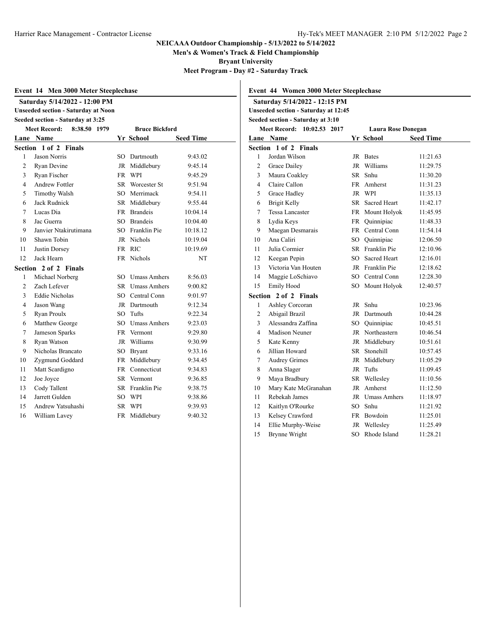**Men's & Women's Track & Field Championship**

**Bryant University**

**Meet Program - Day #2 - Saturday Track**

| Event 14 Men 3000 Meter Steeplechase |                                            |           |                       |                  |  |  |
|--------------------------------------|--------------------------------------------|-----------|-----------------------|------------------|--|--|
|                                      | Saturday 5/14/2022 - 12:00 PM              |           |                       |                  |  |  |
|                                      | <b>Unseeded section - Saturday at Noon</b> |           |                       |                  |  |  |
|                                      | Seeded section - Saturday at 3:25          |           |                       |                  |  |  |
|                                      | <b>Meet Record:</b><br>8:38.50 1979        |           | <b>Bruce Bickford</b> |                  |  |  |
|                                      | Lane Name                                  |           | Yr School             | <b>Seed Time</b> |  |  |
|                                      | Section 1 of 2 Finals                      |           |                       |                  |  |  |
| 1                                    | <b>Jason Norris</b>                        | SO.       | Dartmouth             | 9:43.02          |  |  |
| 2                                    | Ryan Devine                                | JR        | Middlebury            | 9:45.14          |  |  |
| 3                                    | Ryan Fischer                               | <b>FR</b> | <b>WPI</b>            | 9:45.29          |  |  |
| 4                                    | <b>Andrew Fottler</b>                      |           | SR Worcester St       | 9:51.94          |  |  |
| 5                                    | <b>Timothy Walsh</b>                       |           | SO Merrimack          | 9:54.11          |  |  |
| 6                                    | Jack Rudnick                               |           | SR Middlebury         | 9:55.44          |  |  |
| 7                                    | Lucas Dia                                  |           | FR Brandeis           | 10:04.14         |  |  |
| 8                                    | Jac Guerra                                 |           | SO Brandeis           | 10:04.40         |  |  |
| 9                                    | Janvier Ntakirutimana                      |           | SO Franklin Pie       | 10:18.12         |  |  |
| 10                                   | Shawn Tobin                                |           | JR Nichols            | 10:19.04         |  |  |
| 11                                   | Justin Dorsey                              | <b>FR</b> | - RIC                 | 10:19.69         |  |  |
| 12                                   | Jack Hearn                                 | FR        | <b>Nichols</b>        | <b>NT</b>        |  |  |
|                                      | Section 2 of 2 Finals                      |           |                       |                  |  |  |
| 1                                    | Michael Norberg                            | SO.       | Umass Amhers          | 8:56.03          |  |  |
| $\overline{c}$                       | Zach Lefever                               | SR.       | <b>Umass Amhers</b>   | 9:00.82          |  |  |
| 3                                    | <b>Eddie Nicholas</b>                      |           | SO Central Conn       | 9:01.97          |  |  |
| 4                                    | Jason Wang                                 |           | JR Dartmouth          | 9:12.34          |  |  |
| 5                                    | Ryan Proulx                                | $SO^-$    | Tufts                 | 9:22.34          |  |  |
| 6                                    | Matthew George                             |           | SO Umass Amhers       | 9:23.03          |  |  |
| 7                                    | Jameson Sparks                             |           | FR Vermont            | 9:29.80          |  |  |
| 8                                    | Ryan Watson                                |           | JR Williams           | 9:30.99          |  |  |
| 9                                    | Nicholas Brancato                          | $SO^-$    | <b>Bryant</b>         | 9:33.16          |  |  |
| 10                                   | Zygmund Goddard                            |           | FR Middlebury         | 9:34.45          |  |  |
| 11                                   | Matt Scardigno                             |           | <b>FR</b> Connecticut | 9:34.83          |  |  |
| 12                                   | Joe Joyce                                  |           | SR Vermont            | 9:36.85          |  |  |
| 13                                   | Cody Tallent                               |           | SR Franklin Pie       | 9:38.75          |  |  |
| 14                                   | Jarrett Gulden                             |           | SO WPI                | 9:38.86          |  |  |
| 15                                   | Andrew Yatsuhashi                          | SR.       | <b>WPI</b>            | 9:39.93          |  |  |
| 16                                   | William Lavev                              | <b>FR</b> | Middlebury            | 9:40.32          |  |  |

|                | Event 44 Women 3000 Meter Steeplechase      |    |                           |                  |  |  |
|----------------|---------------------------------------------|----|---------------------------|------------------|--|--|
|                | Saturday 5/14/2022 - 12:15 PM               |    |                           |                  |  |  |
|                | <b>Unseeded section - Saturday at 12:45</b> |    |                           |                  |  |  |
|                | Seeded section - Saturday at 3:10           |    |                           |                  |  |  |
|                | <b>Meet Record:</b><br>10:02.53 2017        |    | <b>Laura Rose Donegan</b> |                  |  |  |
|                | Lane Name                                   |    | Yr School                 | <b>Seed Time</b> |  |  |
|                | Section 1 of 2 Finals                       |    |                           |                  |  |  |
| 1              | Jordan Wilson                               |    | JR Bates                  | 11:21.63         |  |  |
| $\overline{c}$ | Grace Dailey                                |    | JR Williams               | 11:29.75         |  |  |
| 3              | Maura Coakley                               |    | SR Snhu                   | 11:30.20         |  |  |
| 4              | Claire Callon                               |    | FR Amherst                | 11:31.23         |  |  |
| 5              | Grace Hadley                                |    | JR WPI                    | 11:35.13         |  |  |
| 6              | Brigit Kelly                                |    | SR Sacred Heart           | 11:42.17         |  |  |
| 7              | Tessa Lancaster                             |    | FR Mount Holyok           | 11:45.95         |  |  |
| 8              | Lydia Keys                                  |    | FR Quinnipiac             | 11:48.33         |  |  |
| 9              | Maegan Desmarais                            |    | FR Central Conn           | 11:54.14         |  |  |
| 10             | Ana Caliri                                  |    | SO Quinnipiac             | 12:06.50         |  |  |
| 11             | Julia Cormier                               |    | SR Franklin Pie           | 12:10.96         |  |  |
| 12             | Keegan Pepin                                |    | SO Sacred Heart           | 12:16.01         |  |  |
| 13             | Victoria Van Houten                         |    | JR Franklin Pie           | 12:18.62         |  |  |
| 14             | Maggie LoSchiavo                            |    | SO Central Conn           | 12:28.30         |  |  |
| 15             | Emily Hood                                  |    | SO Mount Holyok           | 12:40.57         |  |  |
|                | Section 2 of 2 Finals                       |    |                           |                  |  |  |
| 1              | Ashley Corcoran                             |    | JR Snhu                   | 10:23.96         |  |  |
| $\overline{2}$ | Abigail Brazil                              |    | JR Dartmouth              | 10:44.28         |  |  |
| 3              | Alessandra Zaffina                          |    | SO Quinnipiac             | 10:45.51         |  |  |
| 4              | <b>Madison Neuner</b>                       |    | JR Northeastern           | 10:46.54         |  |  |
| 5              | Kate Kenny                                  |    | JR Middlebury             | 10:51.61         |  |  |
| 6              | Jillian Howard                              |    | SR Stonehill              | 10:57.45         |  |  |
| 7              | <b>Audrey Grimes</b>                        |    | JR Middlebury             | 11:05.29         |  |  |
| 8              | Anna Slager                                 | JR | Tufts                     | 11:09.45         |  |  |
| 9              | Maya Bradbury                               |    | SR Welleslev              | 11:10.56         |  |  |
| 10             | Mary Kate McGranahan                        |    | JR Amherst                | 11:12.50         |  |  |
| 11             | Rebekah James                               |    | JR Umass Amhers           | 11:18.97         |  |  |
| 12             | Kaitlyn O'Rourke                            |    | SO Snhu                   | 11:21.92         |  |  |
| 13             | Kelsey Crawford                             |    | FR Bowdoin                | 11:25.01         |  |  |
| 14             | Ellie Murphy-Weise                          | JR | Wellesley                 | 11:25.49         |  |  |
| 15             | <b>Brynne Wright</b>                        | SO | Rhode Island              | 11:28.21         |  |  |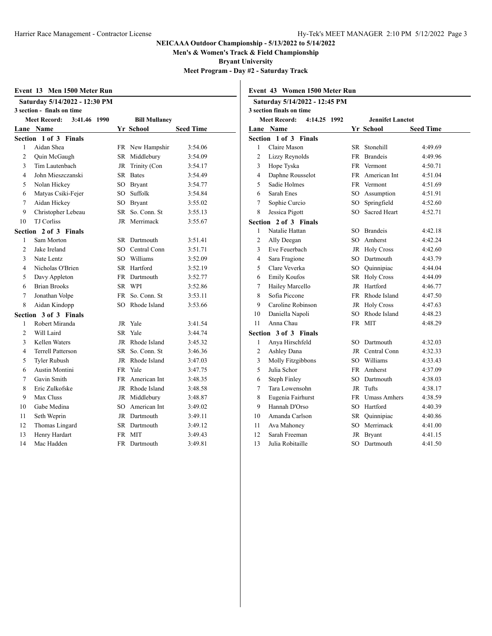**Men's & Women's Track & Field Championship**

**Bryant University**

**Meet Program - Day #2 - Saturday Track**

|                |                                     |           |                      | Meet Prograr     |
|----------------|-------------------------------------|-----------|----------------------|------------------|
|                | Event 13 Men 1500 Meter Run         |           |                      |                  |
|                | Saturday 5/14/2022 - 12:30 PM       |           |                      |                  |
|                | 3 section - finals on time          |           |                      |                  |
|                | <b>Meet Record:</b><br>3:41.46 1990 |           | <b>Bill Mullaney</b> |                  |
|                | Lane Name                           |           | Yr School            | <b>Seed Time</b> |
| Section        | 1 of 3 Finals                       |           |                      |                  |
| 1              | Aidan Shea                          |           | FR New Hampshir      | 3:54.06          |
| $\overline{c}$ | Quin McGaugh                        |           | SR Middlebury        | 3:54.09          |
| 3              | Tim Lautenbach                      | JR        | Trinity (Con         | 3:54.17          |
| 4              | John Mieszczanski                   |           | SR Bates             | 3:54.49          |
| 5              | Nolan Hickey                        |           | SO Bryant            | 3:54.77          |
| 6              | Matyas Csiki-Fejer                  | SO        | Suffolk              | 3:54.84          |
| 7              | Aidan Hickey                        |           | SO Brvant            | 3:55.02          |
| 9              | Christopher Lebeau                  | SR –      | So. Conn. St.        | 3:55.13          |
| 10             | <b>TJ Corliss</b>                   | JR        | Merrimack            | 3:55.67          |
|                | Section 2 of 3 Finals               |           |                      |                  |
| 1              | Sam Morton                          |           | SR Dartmouth         | 3:51.41          |
| $\mathfrak{D}$ | Jake Ireland                        |           | SO Central Conn      | 3:51.71          |
| 3              | Nate Lentz                          |           | SO Williams          | 3:52.09          |
| 4              | Nicholas O'Brien                    |           | SR Hartford          | 3:52.19          |
| 5              | Davy Appleton                       |           | FR Dartmouth         | 3:52.77          |
| 6              | <b>Brian Brooks</b>                 |           | SR WPI               | 3:52.86          |
| $\overline{7}$ | Jonathan Volpe                      | <b>FR</b> | So. Conn. St         | 3:53.11          |
| 8              | Aidan Kindopp                       | SO.       | Rhode Island         | 3:53.66          |
|                | Section 3 of 3 Finals               |           |                      |                  |
| 1              | Robert Miranda                      |           | JR Yale              | 3:41.54          |
| $\mathfrak{D}$ | Will Laird                          | SR        | Yale                 | 3:44.74          |
| 3              | Kellen Waters                       | JR        | Rhode Island         | 3:45.32          |
| 4              | <b>Terrell Patterson</b>            |           | SR So. Conn. St.     | 3:46.36          |
| 5              | <b>Tyler Rubush</b>                 |           | JR Rhode Island      | 3:47.03          |
| 6              | Austin Montini                      |           | FR Yale              | 3:47.75          |
| 7              | Gavin Smith                         | FR -      | American Int         | 3:48.35          |
| 8              | Eric Zulkofske                      | JR        | Rhode Island         | 3:48.58          |
| 9              | Max Cluss                           |           | JR Middlebury        | 3:48.87          |
| 10             | Gabe Medina                         |           | SO American Int      | 3:49.02          |
| 11             | Seth Weprin                         |           | JR Dartmouth         | 3:49.11          |
| 12             | Thomas Lingard                      |           | SR Dartmouth         | 3:49.12          |
| 13             | Henry Hardart                       | <b>FR</b> | <b>MIT</b>           | 3:49.43          |
| 14             | Mac Hadden                          | <b>FR</b> | Dartmouth            | 3:49.81          |
|                |                                     |           |                      |                  |

| Event 43 Women 1500 Meter Run |                               |     |                         |                  |
|-------------------------------|-------------------------------|-----|-------------------------|------------------|
|                               | Saturday 5/14/2022 - 12:45 PM |     |                         |                  |
|                               | 3 section finals on time      |     |                         |                  |
|                               | Meet Record:<br>4:14.25 1992  |     | <b>Jennifet Lanctot</b> |                  |
|                               | Lane Name                     |     | Yr School               | <b>Seed Time</b> |
|                               | Section 1 of 3 Finals         |     |                         |                  |
| 1                             | Claire Mason                  |     | SR Stonehill            | 4:49.69          |
| $\overline{c}$                | Lizzy Reynolds                |     | FR Brandeis             | 4:49.96          |
| 3                             | Hope Tyska                    |     | FR Vermont              | 4:50.71          |
| 4                             | Daphne Rousselot              |     | FR American Int         | 4:51.04          |
| 5                             | Sadie Holmes                  |     | FR Vermont              | 4:51.69          |
| 6                             | Sarah Enes                    |     | SO Assumption           | 4:51.91          |
| 7                             | Sophie Curcio                 |     | SO Springfield          | 4:52.60          |
| 8                             | Jessica Pigott                |     | SO Sacred Heart         | 4:52.71          |
| Section                       | 2 of 3 Finals                 |     |                         |                  |
| 1                             | Natalie Hattan                |     | SO Brandeis             | 4:42.18          |
| $\overline{c}$                | Ally Deegan                   |     | SO Amherst              | 4:42.24          |
| 3                             | Eve Feuerbach                 |     | JR Holy Cross           | 4:42.60          |
| 4                             | Sara Fragione                 |     | SO Dartmouth            | 4:43.79          |
| 5                             | Clare Veverka                 |     | SO Quinnipiac           | 4:44.04          |
| 6                             | <b>Emily Koufos</b>           |     | SR Holy Cross           | 4:44.09          |
| 7                             | Hailey Marcello               |     | JR Hartford             | 4:46.77          |
| 8                             | Sofia Piccone                 |     | FR Rhode Island         | 4:47.50          |
| 9                             | Caroline Robinson             |     | JR Holy Cross           | 4:47.63          |
| 10                            | Daniella Napoli               |     | SO Rhode Island         | 4:48.23          |
| 11                            | Anna Chau                     |     | FR MIT                  | 4:48.29          |
|                               | Section 3 of 3 Finals         |     |                         |                  |
| 1                             | Anya Hirschfeld               | SO. | Dartmouth               | 4:32.03          |
| 2                             | Ashley Dana                   |     | JR Central Conn         | 4:32.33          |
| 3                             | Molly Fitzgibbons             |     | SO Williams             | 4:33.43          |
| 5                             | Julia Schor                   |     | FR Amherst              | 4:37.09          |
| 6                             | <b>Steph Finley</b>           |     | SO Dartmouth            | 4:38.03          |
| 7                             | Tara Lowensohn                |     | JR Tufts                | 4:38.17          |
| 8                             | Eugenia Fairhurst             |     | FR Umass Amhers         | 4:38.59          |
| 9                             | Hannah D'Orso                 |     | SO Hartford             | 4:40.39          |
| 10                            | Amanda Carlson                |     | SR Ouinnipiac           | 4:40.86          |
| 11                            | Ava Mahoney                   |     | SO Merrimack            | 4:41.00          |
| 12                            | Sarah Freeman                 | JR  | <b>Bryant</b>           | 4:41.15          |
| 13                            | Julia Robitaille              | SO  | Dartmouth               | 4:41.50          |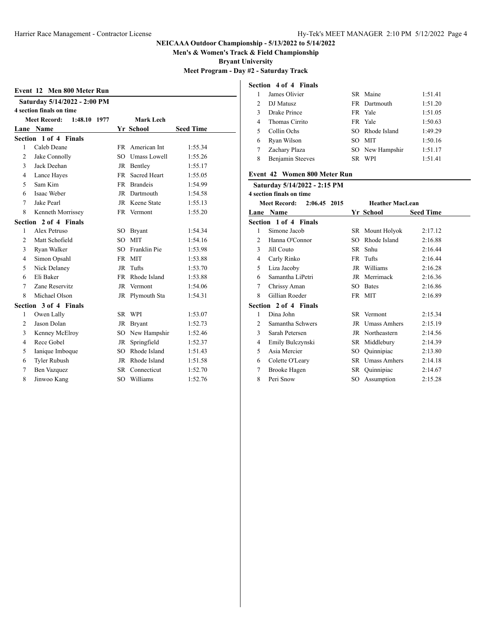**Men's & Women's Track & Field Championship**

**Bryant University**

**Meet Program - Day #2 - Saturday Track**

| Event 12 Men 800 Meter Run |                                                     |  |  |           |                       |                  |  |
|----------------------------|-----------------------------------------------------|--|--|-----------|-----------------------|------------------|--|
|                            | Saturday 5/14/2022 - 2:00 PM                        |  |  |           |                       |                  |  |
|                            | 4 section finals on time                            |  |  |           |                       |                  |  |
|                            | <b>Meet Record:</b><br>Mark Lech<br>1:48.10<br>1977 |  |  |           |                       |                  |  |
|                            | Lane Name                                           |  |  |           | Yr School             | <b>Seed Time</b> |  |
|                            | Section 1 of 4 Finals                               |  |  |           |                       |                  |  |
| 1                          | Caleb Deane                                         |  |  |           | FR American Int       | 1:55.34          |  |
| 2                          | Jake Connolly                                       |  |  | SO        | Umass Lowell          | 1:55.26          |  |
| 3                          | Jack Deehan                                         |  |  |           | JR Bentley            | 1:55.17          |  |
| $\overline{4}$             | Lance Hayes                                         |  |  | <b>FR</b> | <b>Sacred Heart</b>   | 1:55.05          |  |
| 5                          | Sam Kim                                             |  |  |           | FR Brandeis           | 1:54.99          |  |
| 6                          | Isaac Weber                                         |  |  | JR        | Dartmouth             | 1:54.58          |  |
| 7                          | Jake Pearl                                          |  |  |           | JR Keene State        | 1:55.13          |  |
| 8                          | Kenneth Morrissey                                   |  |  |           | FR Vermont            | 1:55.20          |  |
|                            | Section 2 of 4 Finals                               |  |  |           |                       |                  |  |
| 1                          | Alex Petruso                                        |  |  | SO.       | <b>Bryant</b>         | 1:54.34          |  |
| 2                          | Matt Schofield                                      |  |  | SO.       | <b>MIT</b>            | 1:54.16          |  |
| 3                          | Ryan Walker                                         |  |  | SO.       | Franklin Pie          | 1:53.98          |  |
| $\overline{4}$             | Simon Opsahl                                        |  |  | <b>FR</b> | <b>MIT</b>            | 1:53.88          |  |
| 5                          | Nick Delaney                                        |  |  | JR        | Tufts                 | 1:53.70          |  |
| 6                          | Eli Baker                                           |  |  | FR        | Rhode Island          | 1:53.88          |  |
| $\tau$                     | Zane Reservitz                                      |  |  |           | JR Vermont            | 1:54.06          |  |
| 8                          | Michael Olson                                       |  |  |           | JR Plymouth Sta       | 1:54.31          |  |
|                            | Section 3 of 4 Finals                               |  |  |           |                       |                  |  |
| 1                          | Owen Lally                                          |  |  |           | SR WPI                | 1:53.07          |  |
| 2                          | Jason Dolan                                         |  |  | JR        | <b>Bryant</b>         | 1:52.73          |  |
| 3                          | Kenney McElroy                                      |  |  | SO.       | New Hampshir          | 1:52.46          |  |
| 4                          | Rece Gobel                                          |  |  | JR        | Springfield           | 1:52.37          |  |
| 5                          | Ianique Imboque                                     |  |  |           | SO Rhode Island       | 1:51.43          |  |
| 6                          | <b>Tyler Rubush</b>                                 |  |  |           | JR Rhode Island       | 1:51.58          |  |
| 7                          | Ben Vazquez                                         |  |  |           | <b>SR</b> Connecticut | 1:52.70          |  |
| 8                          | Jinwoo Kang                                         |  |  | SO.       | Williams              | 1:52.76          |  |

## **Section 4 of 4 Finals**

|                             | James Olivier    | SR Maine        | 1:51.41 |
|-----------------------------|------------------|-----------------|---------|
| $\mathcal{D}_{\mathcal{L}}$ | DJ Matusz        | FR Dartmouth    | 1:51.20 |
|                             | Drake Prince     | FR Yale         | 1:51.05 |
| 4                           | Thomas Cirrito   | FR Yale         | 1:50.63 |
| 5                           | Collin Ochs      | SO Rhode Island | 1:49.29 |
| 6                           | Ryan Wilson      | SO MIT          | 1:50.16 |
|                             | Zachary Plaza    | SO New Hampshir | 1:51.17 |
| 8                           | Benjamin Steeves | SR WPI          | 1:51.41 |
|                             |                  |                 |         |

### **Event 42 Women 800 Meter Run**

|                | Saturday 5/14/2022 - 2:15 PM        |     |                        |                  |
|----------------|-------------------------------------|-----|------------------------|------------------|
|                | 4 section finals on time            |     |                        |                  |
|                | <b>Meet Record:</b><br>2:06.45 2015 |     | <b>Heather MacLean</b> |                  |
| Lane           | <b>Name</b>                         |     | Yr School              | <b>Seed Time</b> |
|                | Section 1 of 4 Finals               |     |                        |                  |
| 1              | Simone Jacob                        |     | SR Mount Holyok        | 2:17.12          |
| 2              | Hanna O'Connor                      | SO  | Rhode Island           | 2:16.88          |
| 3              | Jill Couto                          | SR  | Snhu                   | 2:16.44          |
| $\overline{4}$ | Carly Rinko                         | FR  | Tufts                  | 2:16.44          |
| 5              | Liza Jacoby                         | JR  | Williams               | 2:16.28          |
| 6              | Samantha LiPetri                    | JR  | Merrimack              | 2:16.36          |
| 7              | Chrissy Aman                        | SO  | <b>Bates</b>           | 2:16.86          |
| 8              | Gillian Roeder                      |     | FR MIT                 | 2:16.89          |
|                | Section 2 of 4 Finals               |     |                        |                  |
| 1              | Dina John                           |     | SR Vermont             | 2:15.34          |
| 2              | Samantha Schwers                    | JR  | <b>Umass Amhers</b>    | 2:15.19          |
| 3              | Sarah Petersen                      | JR  | Northeastern           | 2:14.56          |
| 4              | Emily Bulczynski                    | SR  | Middlebury             | 2:14.39          |
| 5              | Asia Mercier                        | SO  | Quinnipiac             | 2:13.80          |
| 6              | Colette O'Leary                     | SR  | <b>Umass Amhers</b>    | 2:14.18          |
| 7              | Brooke Hagen                        | SR  | Quinnipiac             | 2:14.67          |
| 8              | Peri Snow                           | SO. | Assumption             | 2:15.28          |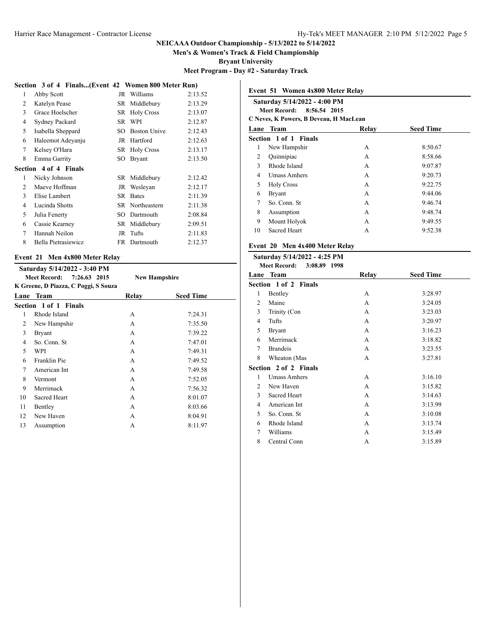**Men's & Women's Track & Field Championship**

**Bryant University**

**Meet Program - Day #2 - Saturday Track**

#### **Section 3 of 4 Finals...(Event 42 Women 800 Meter Run)**

| 1              | Abby Scott                   | JR   | Williams            | 2:13.52 |
|----------------|------------------------------|------|---------------------|---------|
| 2              | Katelyn Pease                | SR   | Middlebury          | 2:13.29 |
| 3              | Grace Hoelscher              | SR   | <b>Holy Cross</b>   | 2:13.07 |
| $\overline{4}$ | Sydney Packard               | SR   | WPI                 | 2:12.87 |
| 5              | Isabella Sheppard            | SO   | <b>Boston Unive</b> | 2:12.43 |
| 6              | Haleemot Adeyanju            | JR   | Hartford            | 2:12.63 |
| 7              | Kelsey O'Hara                | SR   | <b>Holy Cross</b>   | 2:13.17 |
| 8              | Emma Garrity                 | SO.  | <b>Bryant</b>       | 2:13.50 |
|                | <b>Section 4 of 4 Finals</b> |      |                     |         |
| 1              | Nicky Johnson                |      | SR Middlebury       | 2:12.42 |
| 2              | Maeve Hoffman                | JR   | Wesleyan            | 2:12.17 |
| 3              | Elise Lambert                | SR.  | <b>Bates</b>        | 2:11.39 |
| 4              | Lucinda Shotts               | SR   | Northeastern        | 2:11.38 |
| 5              | Julia Fenerty                | SO - | Dartmouth           | 2:08.84 |
| 6              | Cassie Kearney               | SR   | Middlebury          | 2:09.51 |
| 7              | Hannah Neilon                | JR   | Tufts               | 2:11.83 |
| 8              | Bella Pietrasiewicz          | FR   | Dartmouth           | 2:12.37 |
|                |                              |      |                     |         |

#### **Event 21 Men 4x800 Meter Relay**

|                           | Saturday 5/14/2022 - 3:40 PM         |                      |                  |
|---------------------------|--------------------------------------|----------------------|------------------|
| Meet Record: 7:26.63 2015 |                                      | <b>New Hampshire</b> |                  |
|                           | K Greene, D Piazza, C Poggi, S Souza |                      |                  |
| Lane                      | <b>Team</b>                          | Relay                | <b>Seed Time</b> |
|                           | Section 1 of 1 Finals                |                      |                  |
| 1                         | Rhode Island                         | A                    | 7:24.31          |
| 2                         | New Hampshir                         | A                    | 7:35.50          |
| 3                         | <b>Bryant</b>                        | A                    | 7:39.22          |
| 4                         | So. Conn. St                         | A                    | 7:47.01          |
| 5                         | WPI                                  | A                    | 7:49.31          |
| 6                         | Franklin Pie                         | A                    | 7:49.52          |
| 7                         | American Int                         | A                    | 7:49.58          |
| 8                         | Vermont                              | A                    | 7:52.05          |
| 9                         | Merrimack                            | A                    | 7:56.32          |
| 10                        | Sacred Heart                         | A                    | 8:01.07          |
| 11                        | Bentley                              | A                    | 8:03.66          |
| 12                        | New Haven                            | A                    | 8:04.91          |
| 13                        | Assumption                           | A                    | 8:11.97          |

|              | Event 51 Women 4x800 Meter Relay<br>Saturday 5/14/2022 - 4:00 PM<br>8:56.54 2015<br>Meet Record:<br>C Neves, K Powers, B Deveau, H MacLean |       |                  |  |  |  |
|--------------|--------------------------------------------------------------------------------------------------------------------------------------------|-------|------------------|--|--|--|
|              |                                                                                                                                            |       |                  |  |  |  |
| Lane         | Team<br>Section 1 of 1 Finals                                                                                                              | Relay | <b>Seed Time</b> |  |  |  |
| 1            | New Hampshir                                                                                                                               | A     | 8:50.67          |  |  |  |
| 2            | Quinnipiac                                                                                                                                 | A     | 8:58.66          |  |  |  |
| $\mathbf{3}$ | Rhode Island                                                                                                                               | A     | 9:07.87          |  |  |  |
| 4            | <b>Umass Amhers</b>                                                                                                                        | A     | 9:20.73          |  |  |  |
| 5            | <b>Holy Cross</b>                                                                                                                          | A     | 9:22.75          |  |  |  |
| 6            | <b>Bryant</b>                                                                                                                              | A     | 9:44.06          |  |  |  |
| 7            | So. Conn. St                                                                                                                               | A     | 9:46.74          |  |  |  |
| 8            | Assumption                                                                                                                                 | A     | 9:48.74          |  |  |  |
| 9            | Mount Holyok                                                                                                                               | A     | 9:49.55          |  |  |  |
| 10           | <b>Sacred Heart</b>                                                                                                                        | A     | 9:52.38          |  |  |  |

# **Event 20 Men 4x400 Meter Relay**

|   | Saturday 5/14/2022 - 4:25 PM<br><b>Meet Record:</b><br>3:08.89 1998 |       |                  |
|---|---------------------------------------------------------------------|-------|------------------|
|   | Lane Team                                                           | Relay | <b>Seed Time</b> |
|   | Section 1 of 2 Finals                                               |       |                  |
| 1 | Bentley                                                             | A     | 3:28.97          |
| 2 | Maine                                                               | A     | 3:24.05          |
| 3 | Trinity (Con                                                        | A     | 3:23.03          |
| 4 | Tufts                                                               | A     | 3:20.97          |
| 5 | <b>Bryant</b>                                                       | A     | 3:16.23          |
| 6 | Merrimack                                                           | A     | 3:18.82          |
| 7 | <b>Brandeis</b>                                                     | A     | 3:23.55          |
| 8 | Wheaton (Mas                                                        | A     | 3:27.81          |
|   | Section 2 of 2 Finals                                               |       |                  |
| 1 | <b>Umass Amhers</b>                                                 | A     | 3:16.10          |
| 2 | New Haven                                                           | A     | 3:15.82          |
| 3 | Sacred Heart                                                        | A     | 3:14.63          |
| 4 | American Int                                                        | A     | 3:13.99          |
| 5 | So. Conn. St                                                        | A     | 3:10.08          |
| 6 | Rhode Island                                                        | A     | 3:13.74          |
| 7 | Williams                                                            | A     | 3:15.49          |
| 8 | Central Conn                                                        | A     | 3:15.89          |